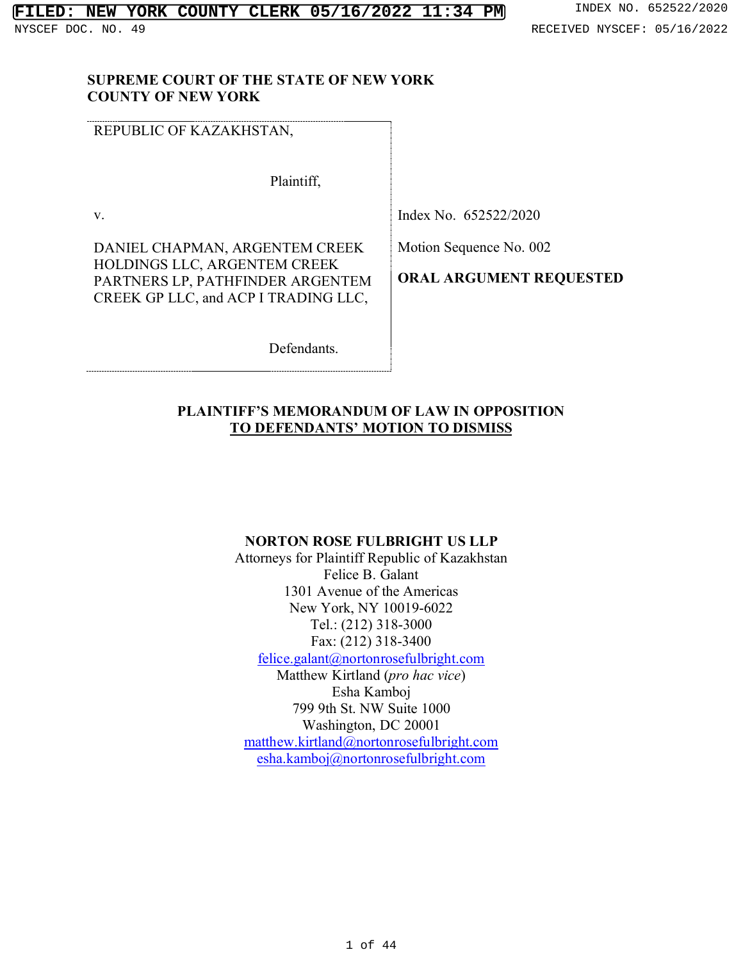#### **SUPREME COURT OF THE STATE OF NEW YORK COUNTY OF NEW YORK**

REPUBLIC OF KAZAKHSTAN,

Plaintiff,

v.

DANIEL CHAPMAN, ARGENTEM CREEK HOLDINGS LLC, ARGENTEM CREEK PARTNERS LP, PATHFINDER ARGENTEM CREEK GP LLC, and ACP I TRADING LLC,

Index No. 652522/2020

Motion Sequence No. 002

**ORAL ARGUMENT REQUESTED**

Defendants.

### **PLAINTIFF'S MEMORANDUM OF LAW IN OPPOSITION TO DEFENDANTS' MOTION TO DISMISS**

#### **NORTON ROSE FULBRIGHT US LLP**

Attorneys for Plaintiff Republic of Kazakhstan Felice B. Galant 1301 Avenue of the Americas New York, NY 10019-6022 Tel.: (212) 318-3000 Fax: (212) 318-3400 felice.galant@nortonrosefulbright.com

Matthew Kirtland (*pro hac vice*) Esha Kamboj 799 9th St. NW Suite 1000 Washington, DC 20001 matthew.kirtland@nortonrosefulbright.com esha.kamboj@nortonrosefulbright.com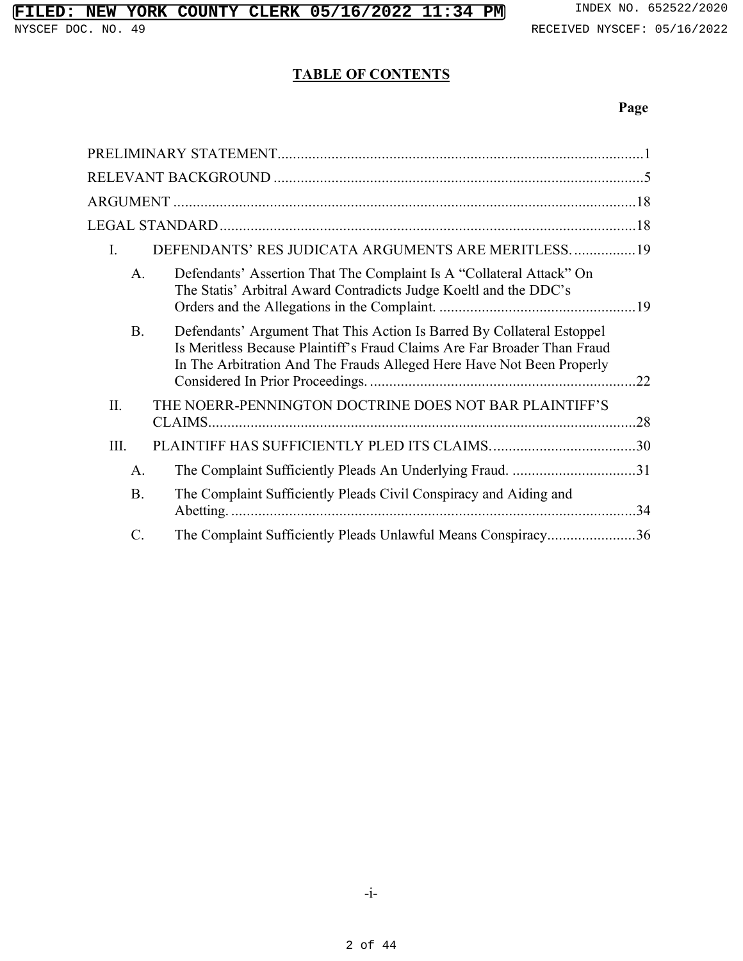#### **TABLE OF CONTENTS**

#### **Page**

| DEFENDANTS' RES JUDICATA ARGUMENTS ARE MERITLESS19<br>I.                                                                                                                                                                                 |
|------------------------------------------------------------------------------------------------------------------------------------------------------------------------------------------------------------------------------------------|
| Defendants' Assertion That The Complaint Is A "Collateral Attack" On<br>A.<br>The Statis' Arbitral Award Contradicts Judge Koeltl and the DDC's                                                                                          |
| Defendants' Argument That This Action Is Barred By Collateral Estoppel<br><b>B.</b><br>Is Meritless Because Plaintiff's Fraud Claims Are Far Broader Than Fraud<br>In The Arbitration And The Frauds Alleged Here Have Not Been Properly |
| THE NOERR-PENNINGTON DOCTRINE DOES NOT BAR PLAINTIFF'S<br>II.                                                                                                                                                                            |
| III.                                                                                                                                                                                                                                     |
| The Complaint Sufficiently Pleads An Underlying Fraud. 31<br>А.                                                                                                                                                                          |
| The Complaint Sufficiently Pleads Civil Conspiracy and Aiding and<br><b>B.</b>                                                                                                                                                           |
| The Complaint Sufficiently Pleads Unlawful Means Conspiracy36<br>$\mathcal{C}$ .                                                                                                                                                         |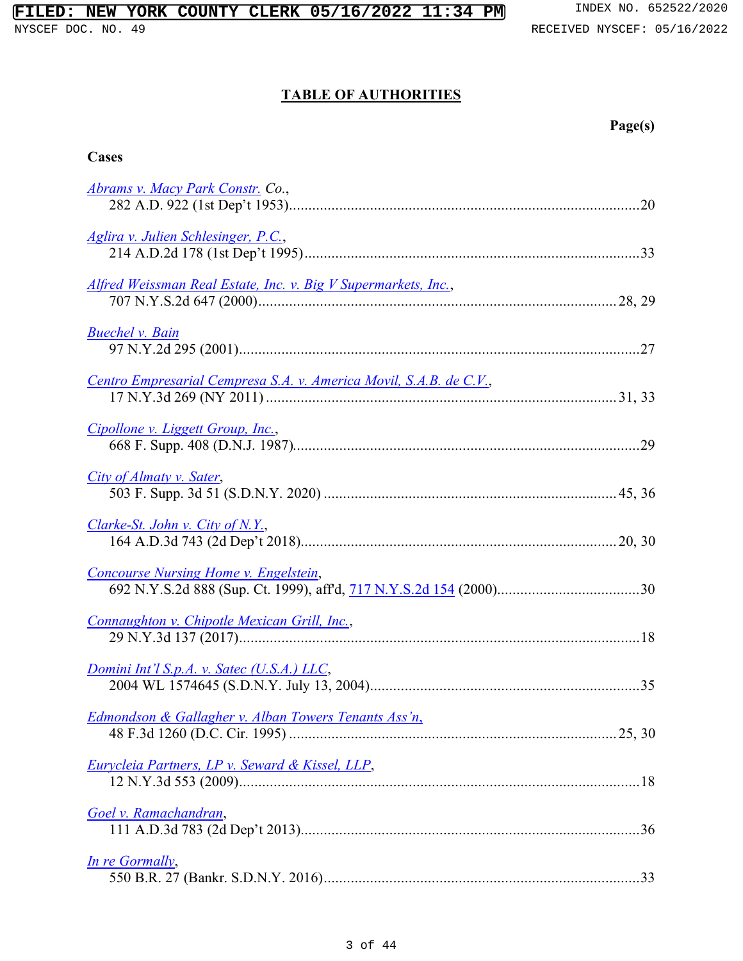## **FILED: NEW YORK COUNTY CLERK 05/16/2022 11:34 PM** INDEX NO. 652522/2020

#### **TABLE OF AUTHORITIES**

| ager<br>18. |
|-------------|
|-------------|

| Abrams v. Macy Park Constr. Co.,                                   |
|--------------------------------------------------------------------|
| Aglira v. Julien Schlesinger, P.C.,                                |
| Alfred Weissman Real Estate, Inc. v. Big V Supermarkets, Inc.,     |
| <b>Buechel v. Bain</b>                                             |
| Centro Empresarial Cempresa S.A. v. America Movil, S.A.B. de C.V., |
| Cipollone v. Liggett Group, Inc.,                                  |
| City of Almaty v. Sater,                                           |
| Clarke-St. John v. City of N.Y.,                                   |
| Concourse Nursing Home v. Engelstein,                              |
| Connaughton v. Chipotle Mexican Grill, Inc.,                       |
| Domini Int'l S.p.A. v. Satec (U.S.A.) LLC,                         |
| Edmondson & Gallagher v. Alban Towers Tenants Ass'n,               |
| Eurycleia Partners, LP v. Seward & Kissel, LLP,                    |
| Goel v. Ramachandran,                                              |
| In re Gormally,                                                    |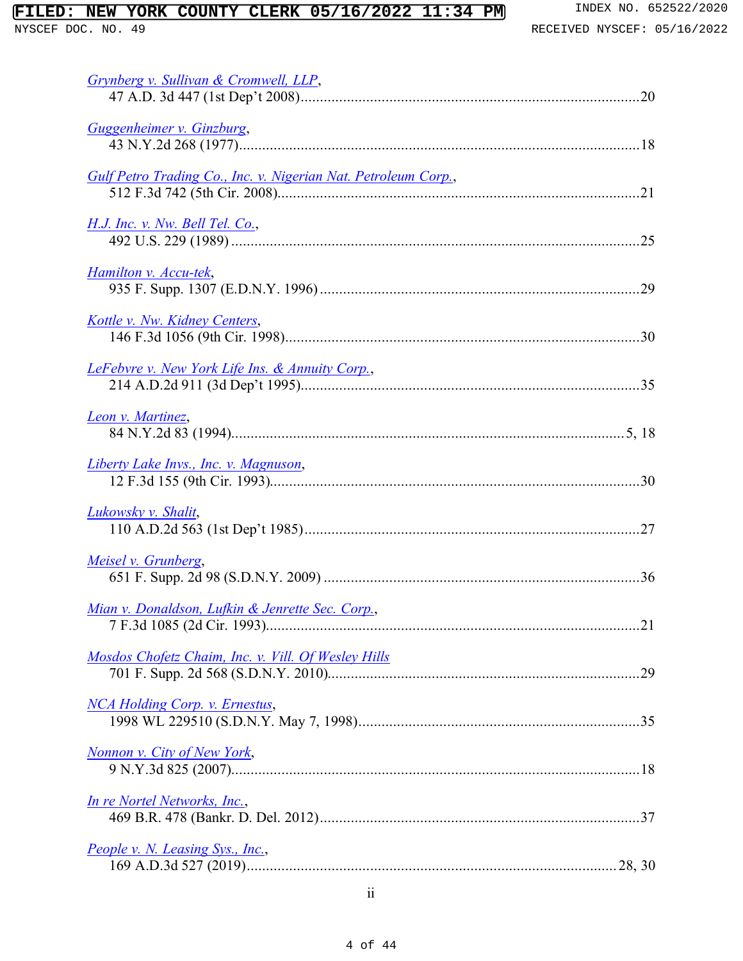## **FILED: NEW YORK COUNTY CLERK 05/16/2022 11:34 PM** INDEX NO. 652522/2020<br>NYSCEF DOC. NO. 49<br>RECEIVED NYSCEF: 05/16/2022

| Grynberg v. Sullivan & Cromwell, LLP,                          |
|----------------------------------------------------------------|
| Guggenheimer v. Ginzburg,                                      |
| Gulf Petro Trading Co., Inc. v. Nigerian Nat. Petroleum Corp., |
| <u>H.J. Inc. v. Nw. Bell Tel. Co.,</u>                         |
| Hamilton v. Accu-tek,                                          |
| Kottle v. Nw. Kidney Centers,                                  |
| LeFebvre v. New York Life Ins. & Annuity Corp.,                |
| Leon v. Martinez,                                              |
| Liberty Lake Invs., Inc. v. Magnuson,                          |
| Lukowsky v. Shalit,                                            |
| Meisel v. Grunberg,                                            |
| Mian v. Donaldson, Lufkin & Jenrette Sec. Corp.,               |
| Mosdos Chofetz Chaim, Inc. v. Vill. Of Wesley Hills            |
| <b>NCA Holding Corp. v. Ernestus,</b>                          |
| Nonnon v. City of New York,                                    |
| <u>In re Nortel Networks, Inc.,</u>                            |
| People v. N. Leasing Sys., Inc.,                               |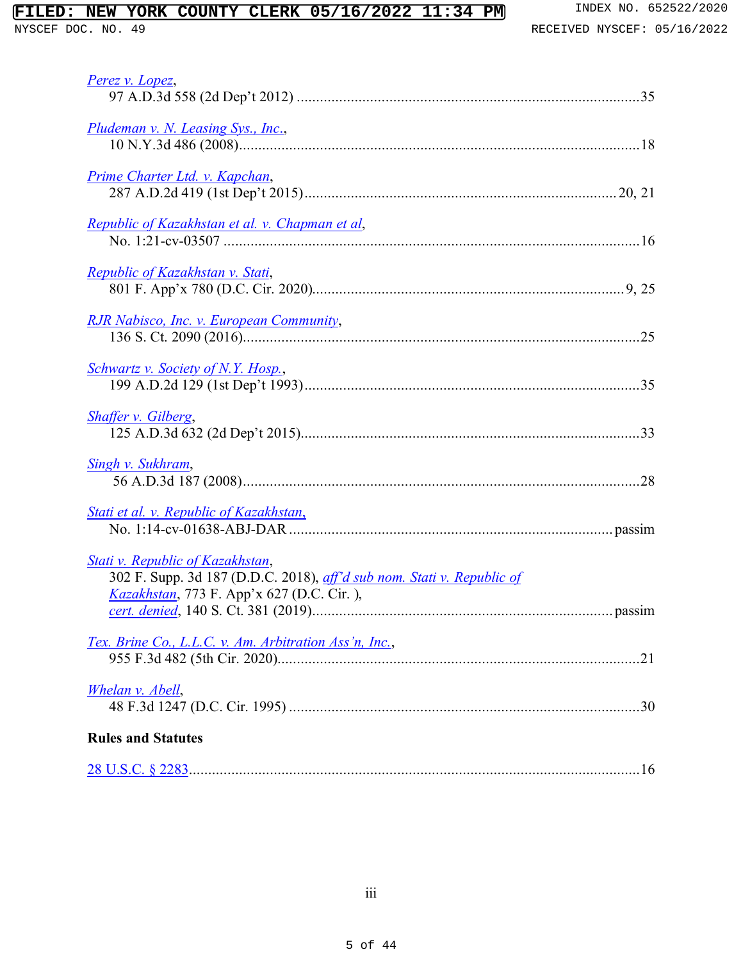## **FILED: NEW YORK COUNTY CLERK 05/16/2022 11:34 PM** INDEX NO. 652522/2020<br>NYSCEF DOC. NO. 49<br>RECEIVED NYSCEF: 05/16/2022

| Perez v. Lopez,                                                                                                                                         |
|---------------------------------------------------------------------------------------------------------------------------------------------------------|
| Pludeman v. N. Leasing Sys., Inc.,                                                                                                                      |
| Prime Charter Ltd. v. Kapchan,                                                                                                                          |
| Republic of Kazakhstan et al. v. Chapman et al,                                                                                                         |
| Republic of Kazakhstan v. Stati,                                                                                                                        |
| RJR Nabisco, Inc. v. European Community,                                                                                                                |
| <b>Schwartz v. Society of N.Y. Hosp.,</b>                                                                                                               |
| <b>Shaffer v. Gilberg,</b>                                                                                                                              |
| <b>Singh v. Sukhram,</b>                                                                                                                                |
| Stati et al. v. Republic of Kazakhstan,                                                                                                                 |
| Stati v. Republic of Kazakhstan,<br>302 F. Supp. 3d 187 (D.D.C. 2018), aff'd sub nom. Stati v. Republic of<br>Kazakhstan, 773 F. App'x 627 (D.C. Cir.), |
| Tex. Brine Co., L.L.C. v. Am. Arbitration Ass'n, Inc.,                                                                                                  |
| <b>Whelan v. Abell,</b>                                                                                                                                 |
| <b>Rules and Statutes</b>                                                                                                                               |
|                                                                                                                                                         |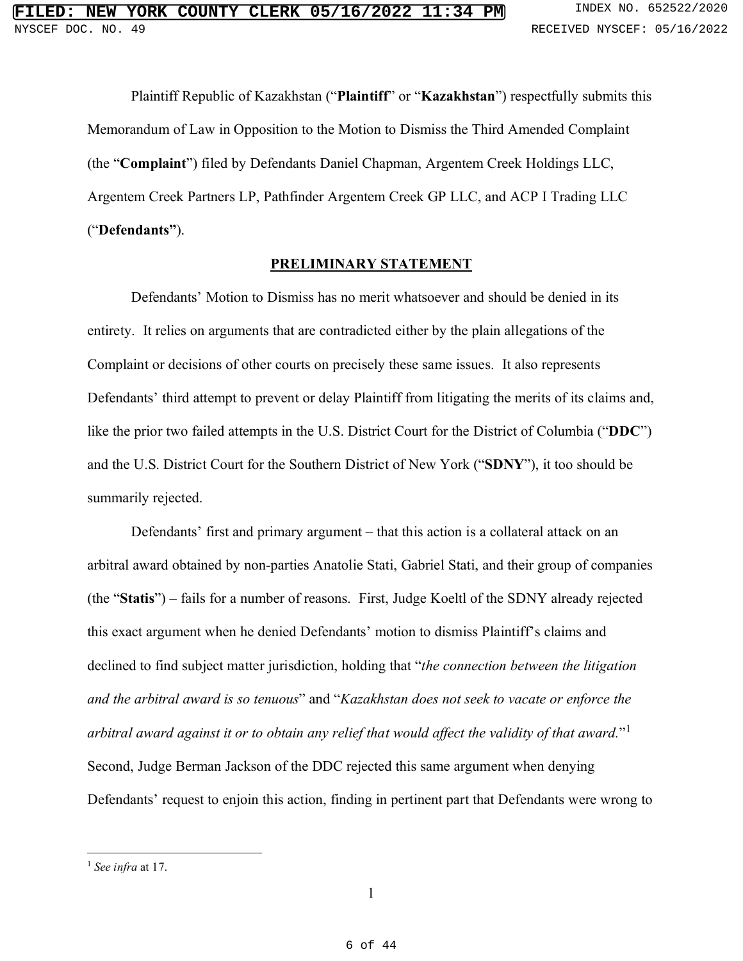Plaintiff Republic of Kazakhstan ("**Plaintiff**" or "**Kazakhstan**") respectfully submits this Memorandum of Law in Opposition to the Motion to Dismiss the Third Amended Complaint (the "**Complaint**") filed by Defendants Daniel Chapman, Argentem Creek Holdings LLC, Argentem Creek Partners LP, Pathfinder Argentem Creek GP LLC, and ACP I Trading LLC ("**Defendants"**).

#### **PRELIMINARY STATEMENT**

Defendants' Motion to Dismiss has no merit whatsoever and should be denied in its entirety. It relies on arguments that are contradicted either by the plain allegations of the Complaint or decisions of other courts on precisely these same issues. It also represents Defendants' third attempt to prevent or delay Plaintiff from litigating the merits of its claims and, like the prior two failed attempts in the U.S. District Court for the District of Columbia ("**DDC**") and the U.S. District Court for the Southern District of New York ("**SDNY**"), it too should be summarily rejected.

Defendants' first and primary argument – that this action is a collateral attack on an arbitral award obtained by non-parties Anatolie Stati, Gabriel Stati, and their group of companies (the "**Statis**") – fails for a number of reasons. First, Judge Koeltl of the SDNY already rejected this exact argument when he denied Defendants' motion to dismiss Plaintiff's claims and declined to find subject matter jurisdiction, holding that "*the connection between the litigation and the arbitral award is so tenuous*" and "*Kazakhstan does not seek to vacate or enforce the arbitral award against it or to obtain any relief that would affect the validity of that award.*"1 Second, Judge Berman Jackson of the DDC rejected this same argument when denying Defendants' request to enjoin this action, finding in pertinent part that Defendants were wrong to

<sup>1</sup> *See infra* at 17.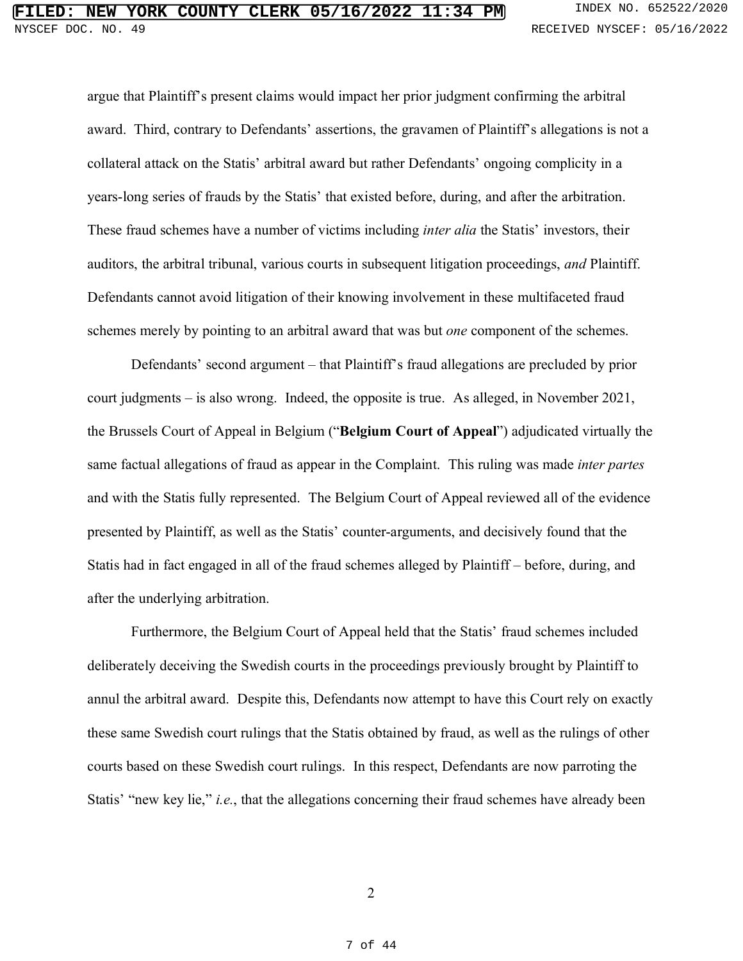argue that Plaintiff's present claims would impact her prior judgment confirming the arbitral award. Third, contrary to Defendants' assertions, the gravamen of Plaintiff's allegations is not a collateral attack on the Statis' arbitral award but rather Defendants' ongoing complicity in a years-long series of frauds by the Statis' that existed before, during, and after the arbitration. These fraud schemes have a number of victims including *inter alia* the Statis' investors, their auditors, the arbitral tribunal, various courts in subsequent litigation proceedings, *and* Plaintiff. Defendants cannot avoid litigation of their knowing involvement in these multifaceted fraud schemes merely by pointing to an arbitral award that was but *one* component of the schemes.

Defendants' second argument – that Plaintiff's fraud allegations are precluded by prior court judgments – is also wrong. Indeed, the opposite is true. As alleged, in November 2021, the Brussels Court of Appeal in Belgium ("**Belgium Court of Appeal**") adjudicated virtually the same factual allegations of fraud as appear in the Complaint. This ruling was made *inter partes* and with the Statis fully represented. The Belgium Court of Appeal reviewed all of the evidence presented by Plaintiff, as well as the Statis' counter-arguments, and decisively found that the Statis had in fact engaged in all of the fraud schemes alleged by Plaintiff – before, during, and after the underlying arbitration.

Furthermore, the Belgium Court of Appeal held that the Statis' fraud schemes included deliberately deceiving the Swedish courts in the proceedings previously brought by Plaintiff to annul the arbitral award. Despite this, Defendants now attempt to have this Court rely on exactly these same Swedish court rulings that the Statis obtained by fraud, as well as the rulings of other courts based on these Swedish court rulings. In this respect, Defendants are now parroting the Statis' "new key lie," *i.e.*, that the allegations concerning their fraud schemes have already been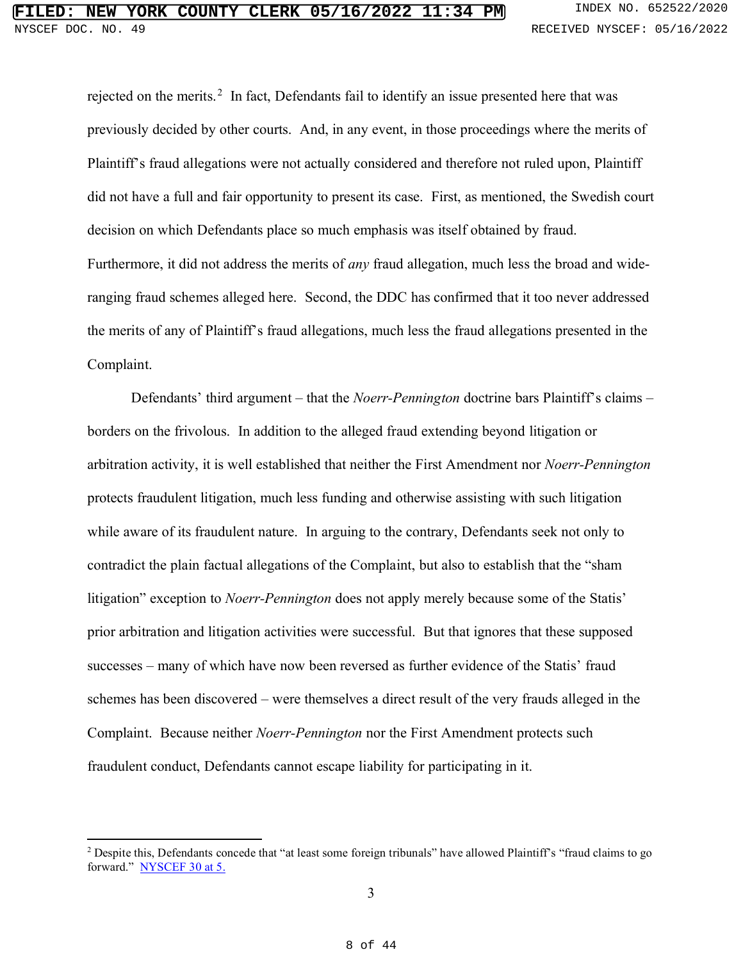rejected on the merits.<sup>2</sup> In fact, Defendants fail to identify an issue presented here that was previously decided by other courts. And, in any event, in those proceedings where the merits of Plaintiff's fraud allegations were not actually considered and therefore not ruled upon, Plaintiff did not have a full and fair opportunity to present its case. First, as mentioned, the Swedish court decision on which Defendants place so much emphasis was itself obtained by fraud. Furthermore, it did not address the merits of *any* fraud allegation, much less the broad and wideranging fraud schemes alleged here. Second, the DDC has confirmed that it too never addressed the merits of any of Plaintiff's fraud allegations, much less the fraud allegations presented in the Complaint.

Defendants' third argument – that the *Noerr-Pennington* doctrine bars Plaintiff's claims – borders on the frivolous. In addition to the alleged fraud extending beyond litigation or arbitration activity, it is well established that neither the First Amendment nor *Noerr-Pennington*  protects fraudulent litigation, much less funding and otherwise assisting with such litigation while aware of its fraudulent nature. In arguing to the contrary, Defendants seek not only to contradict the plain factual allegations of the Complaint, but also to establish that the "sham litigation" exception to *Noerr-Pennington* does not apply merely because some of the Statis' prior arbitration and litigation activities were successful. But that ignores that these supposed successes – many of which have now been reversed as further evidence of the Statis' fraud schemes has been discovered – were themselves a direct result of the very frauds alleged in the Complaint. Because neither *Noerr-Pennington* nor the First Amendment protects such fraudulent conduct, Defendants cannot escape liability for participating in it.

<sup>&</sup>lt;sup>2</sup> Despite this, Defendants concede that "at least some foreign tribunals" have allowed Plaintiff's "fraud claims to go forward." NYSCEF 30 at 5.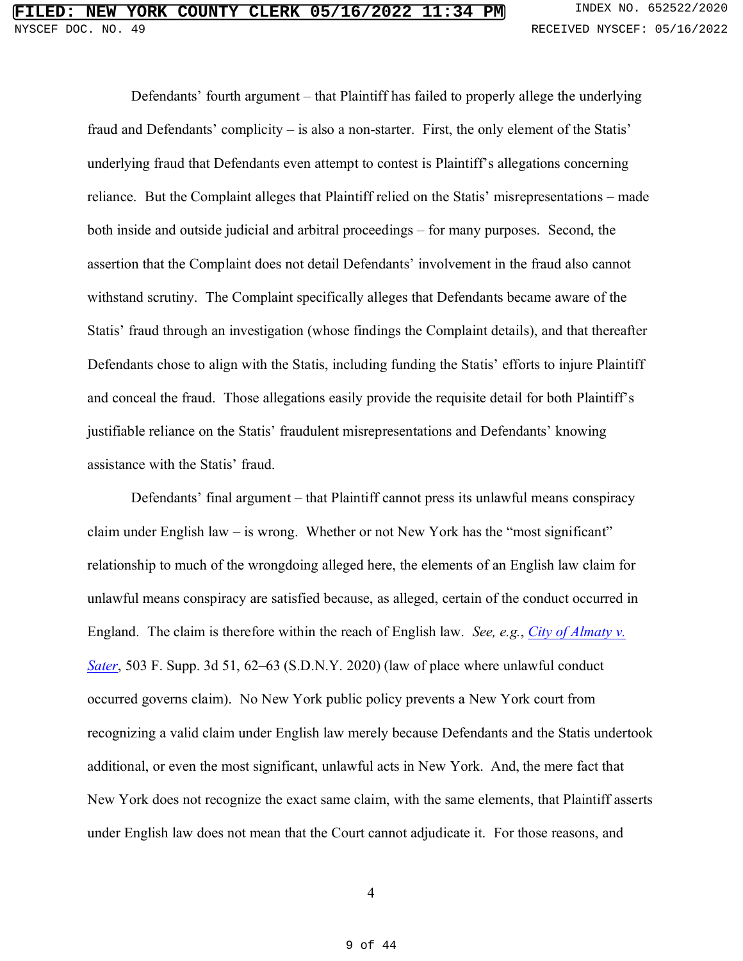Defendants' fourth argument – that Plaintiff has failed to properly allege the underlying fraud and Defendants' complicity – is also a non-starter. First, the only element of the Statis' underlying fraud that Defendants even attempt to contest is Plaintiff's allegations concerning reliance. But the Complaint alleges that Plaintiff relied on the Statis' misrepresentations – made both inside and outside judicial and arbitral proceedings – for many purposes. Second, the assertion that the Complaint does not detail Defendants' involvement in the fraud also cannot withstand scrutiny. The Complaint specifically alleges that Defendants became aware of the Statis' fraud through an investigation (whose findings the Complaint details), and that thereafter Defendants chose to align with the Statis, including funding the Statis' efforts to injure Plaintiff and conceal the fraud. Those allegations easily provide the requisite detail for both Plaintiff's justifiable reliance on the Statis' fraudulent misrepresentations and Defendants' knowing assistance with the Statis' fraud.

Defendants' final argument – that Plaintiff cannot press its unlawful means conspiracy claim under English law – is wrong. Whether or not New York has the "most significant" relationship to much of the wrongdoing alleged here, the elements of an English law claim for unlawful means conspiracy are satisfied because, as alleged, certain of the conduct occurred in England. The claim is therefore within the reach of English law. *See, e.g.*, *City of Almaty v. Sater*, 503 F. Supp. 3d 51, 62–63 (S.D.N.Y. 2020) (law of place where unlawful conduct occurred governs claim). No New York public policy prevents a New York court from recognizing a valid claim under English law merely because Defendants and the Statis undertook additional, or even the most significant, unlawful acts in New York. And, the mere fact that New York does not recognize the exact same claim, with the same elements, that Plaintiff asserts under English law does not mean that the Court cannot adjudicate it. For those reasons, and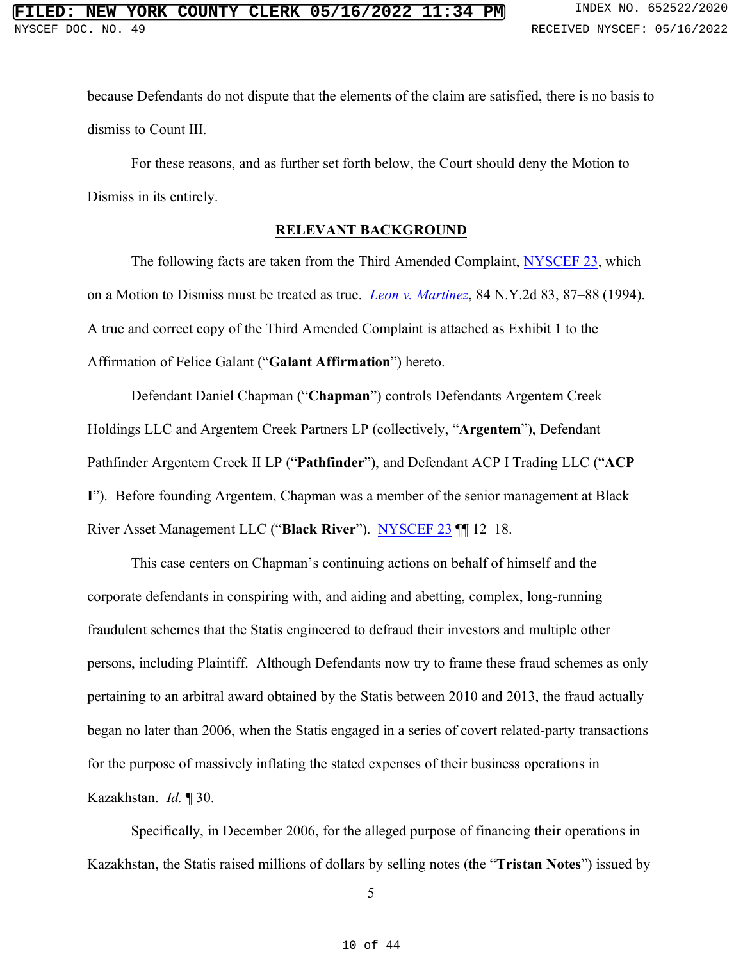because Defendants do not dispute that the elements of the claim are satisfied, there is no basis to dismiss to Count III.

For these reasons, and as further set forth below, the Court should deny the Motion to Dismiss in its entirely.

#### **RELEVANT BACKGROUND**

The following facts are taken from the Third Amended Complaint, NYSCEF 23, which on a Motion to Dismiss must be treated as true. *Leon v. Martinez*, 84 N.Y.2d 83, 87–88 (1994). A true and correct copy of the Third Amended Complaint is attached as Exhibit 1 to the Affirmation of Felice Galant ("**Galant Affirmation**") hereto.

Defendant Daniel Chapman ("**Chapman**") controls Defendants Argentem Creek Holdings LLC and Argentem Creek Partners LP (collectively, "**Argentem**"), Defendant Pathfinder Argentem Creek II LP ("**Pathfinder**"), and Defendant ACP I Trading LLC ("**ACP I**"). Before founding Argentem, Chapman was a member of the senior management at Black River Asset Management LLC ("**Black River**"). NYSCEF 23 ¶¶ 12–18.

This case centers on Chapman's continuing actions on behalf of himself and the corporate defendants in conspiring with, and aiding and abetting, complex, long-running fraudulent schemes that the Statis engineered to defraud their investors and multiple other persons, including Plaintiff. Although Defendants now try to frame these fraud schemes as only pertaining to an arbitral award obtained by the Statis between 2010 and 2013, the fraud actually began no later than 2006, when the Statis engaged in a series of covert related-party transactions for the purpose of massively inflating the stated expenses of their business operations in Kazakhstan. *Id.* ¶ 30.

Specifically, in December 2006, for the alleged purpose of financing their operations in Kazakhstan, the Statis raised millions of dollars by selling notes (the "**Tristan Notes**") issued by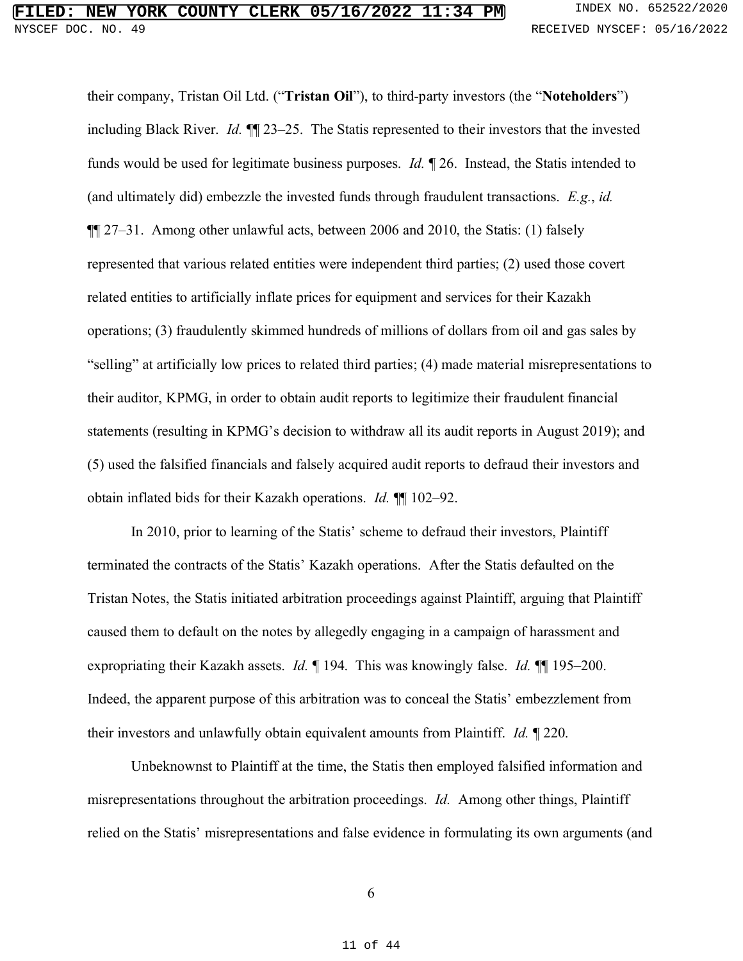their company, Tristan Oil Ltd. ("**Tristan Oil**"), to third-party investors (the "**Noteholders**") including Black River. *Id.* ¶¶ 23–25. The Statis represented to their investors that the invested funds would be used for legitimate business purposes. *Id.* ¶ 26. Instead, the Statis intended to (and ultimately did) embezzle the invested funds through fraudulent transactions. *E.g.*, *id.*  ¶¶ 27–31. Among other unlawful acts, between 2006 and 2010, the Statis: (1) falsely represented that various related entities were independent third parties; (2) used those covert related entities to artificially inflate prices for equipment and services for their Kazakh operations; (3) fraudulently skimmed hundreds of millions of dollars from oil and gas sales by "selling" at artificially low prices to related third parties; (4) made material misrepresentations to their auditor, KPMG, in order to obtain audit reports to legitimize their fraudulent financial statements (resulting in KPMG's decision to withdraw all its audit reports in August 2019); and (5) used the falsified financials and falsely acquired audit reports to defraud their investors and obtain inflated bids for their Kazakh operations. *Id.* ¶¶ 102–92.

In 2010, prior to learning of the Statis' scheme to defraud their investors, Plaintiff terminated the contracts of the Statis' Kazakh operations. After the Statis defaulted on the Tristan Notes, the Statis initiated arbitration proceedings against Plaintiff, arguing that Plaintiff caused them to default on the notes by allegedly engaging in a campaign of harassment and expropriating their Kazakh assets. *Id.* ¶ 194. This was knowingly false. *Id.* ¶¶ 195–200. Indeed, the apparent purpose of this arbitration was to conceal the Statis' embezzlement from their investors and unlawfully obtain equivalent amounts from Plaintiff. *Id.* ¶ 220.

Unbeknownst to Plaintiff at the time, the Statis then employed falsified information and misrepresentations throughout the arbitration proceedings. *Id.* Among other things, Plaintiff relied on the Statis' misrepresentations and false evidence in formulating its own arguments (and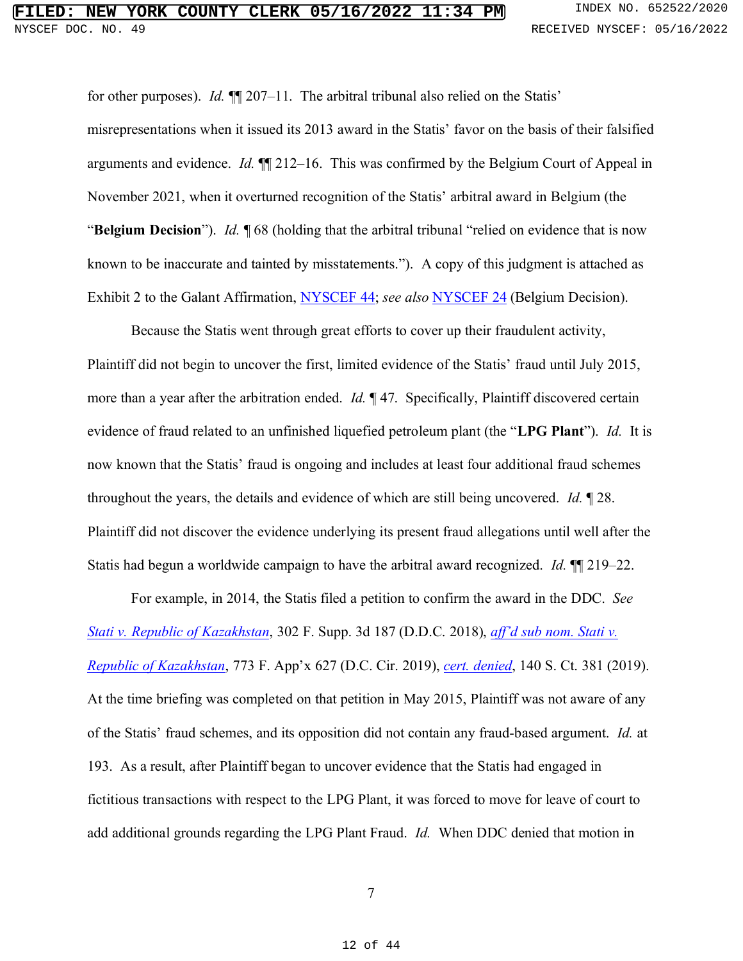for other purposes). *Id.* ¶¶ 207–11. The arbitral tribunal also relied on the Statis' misrepresentations when it issued its 2013 award in the Statis' favor on the basis of their falsified arguments and evidence. *Id.* ¶¶ 212–16. This was confirmed by the Belgium Court of Appeal in November 2021, when it overturned recognition of the Statis' arbitral award in Belgium (the "**Belgium Decision**"). *Id.* ¶ 68 (holding that the arbitral tribunal "relied on evidence that is now known to be inaccurate and tainted by misstatements."). A copy of this judgment is attached as Exhibit 2 to the Galant Affirmation, NYSCEF 44; *see also* NYSCEF 24 (Belgium Decision).

Because the Statis went through great efforts to cover up their fraudulent activity, Plaintiff did not begin to uncover the first, limited evidence of the Statis' fraud until July 2015, more than a year after the arbitration ended. *Id.* ¶ 47. Specifically, Plaintiff discovered certain evidence of fraud related to an unfinished liquefied petroleum plant (the "**LPG Plant**"). *Id.* It is now known that the Statis' fraud is ongoing and includes at least four additional fraud schemes throughout the years, the details and evidence of which are still being uncovered. *Id.* ¶ 28. Plaintiff did not discover the evidence underlying its present fraud allegations until well after the Statis had begun a worldwide campaign to have the arbitral award recognized. *Id.* ¶¶ 219–22.

For example, in 2014, the Statis filed a petition to confirm the award in the DDC. *See Stati v. Republic of Kazakhstan*, 302 F. Supp. 3d 187 (D.D.C. 2018), *aff'd sub nom. Stati v. Republic of Kazakhstan*, 773 F. App'x 627 (D.C. Cir. 2019), *cert. denied*, 140 S. Ct. 381 (2019). At the time briefing was completed on that petition in May 2015, Plaintiff was not aware of any of the Statis' fraud schemes, and its opposition did not contain any fraud-based argument. *Id.* at 193. As a result, after Plaintiff began to uncover evidence that the Statis had engaged in fictitious transactions with respect to the LPG Plant, it was forced to move for leave of court to add additional grounds regarding the LPG Plant Fraud. *Id.* When DDC denied that motion in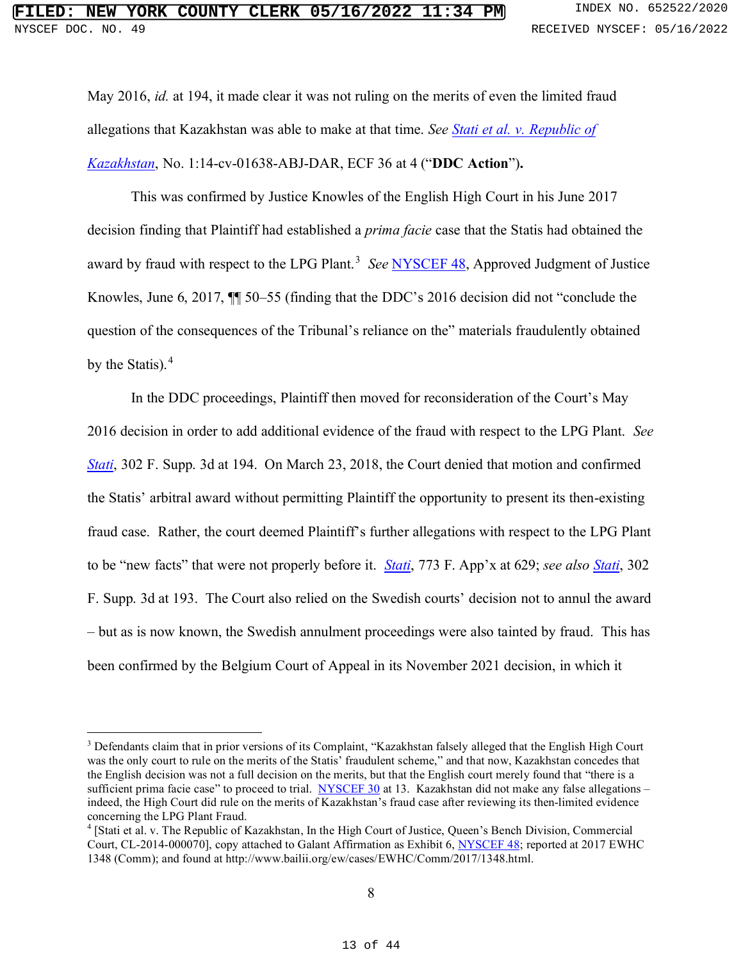May 2016, *id.* at 194, it made clear it was not ruling on the merits of even the limited fraud allegations that Kazakhstan was able to make at that time. *See Stati et al. v. Republic of Kazakhstan*, No. 1:14-cv-01638-ABJ-DAR, ECF 36 at 4 ("**DDC Action**")**.** 

This was confirmed by Justice Knowles of the English High Court in his June 2017 decision finding that Plaintiff had established a *prima facie* case that the Statis had obtained the award by fraud with respect to the LPG Plant.<sup>3</sup> See NYSCEF 48, Approved Judgment of Justice Knowles, June 6, 2017,  $\sqrt{\frac{1}{50}}$  50–55 (finding that the DDC's 2016 decision did not "conclude the question of the consequences of the Tribunal's reliance on the" materials fraudulently obtained by the Statis).<sup>4</sup>

In the DDC proceedings, Plaintiff then moved for reconsideration of the Court's May 2016 decision in order to add additional evidence of the fraud with respect to the LPG Plant. *See Stati*, 302 F. Supp. 3d at 194.On March 23, 2018, the Court denied that motion and confirmed the Statis' arbitral award without permitting Plaintiff the opportunity to present its then-existing fraud case. Rather, the court deemed Plaintiff's further allegations with respect to the LPG Plant to be "new facts" that were not properly before it. *Stati*, 773 F. App'x at 629; *see also Stati*, 302 F. Supp. 3d at 193. The Court also relied on the Swedish courts' decision not to annul the award – but as is now known, the Swedish annulment proceedings were also tainted by fraud. This has been confirmed by the Belgium Court of Appeal in its November 2021 decision, in which it

<sup>3</sup> Defendants claim that in prior versions of its Complaint, "Kazakhstan falsely alleged that the English High Court was the only court to rule on the merits of the Statis' fraudulent scheme," and that now, Kazakhstan concedes that the English decision was not a full decision on the merits, but that the English court merely found that "there is a sufficient prima facie case" to proceed to trial. NYSCEF 30 at 13. Kazakhstan did not make any false allegations indeed, the High Court did rule on the merits of Kazakhstan's fraud case after reviewing its then-limited evidence concerning the LPG Plant Fraud.

<sup>4</sup> [Stati et al. v. The Republic of Kazakhstan, In the High Court of Justice, Queen's Bench Division, Commercial Court, CL-2014-000070], copy attached to Galant Affirmation as Exhibit 6, NYSCEF 48; reported at 2017 EWHC 1348 (Comm); and found at http://www.bailii.org/ew/cases/EWHC/Comm/2017/1348.html.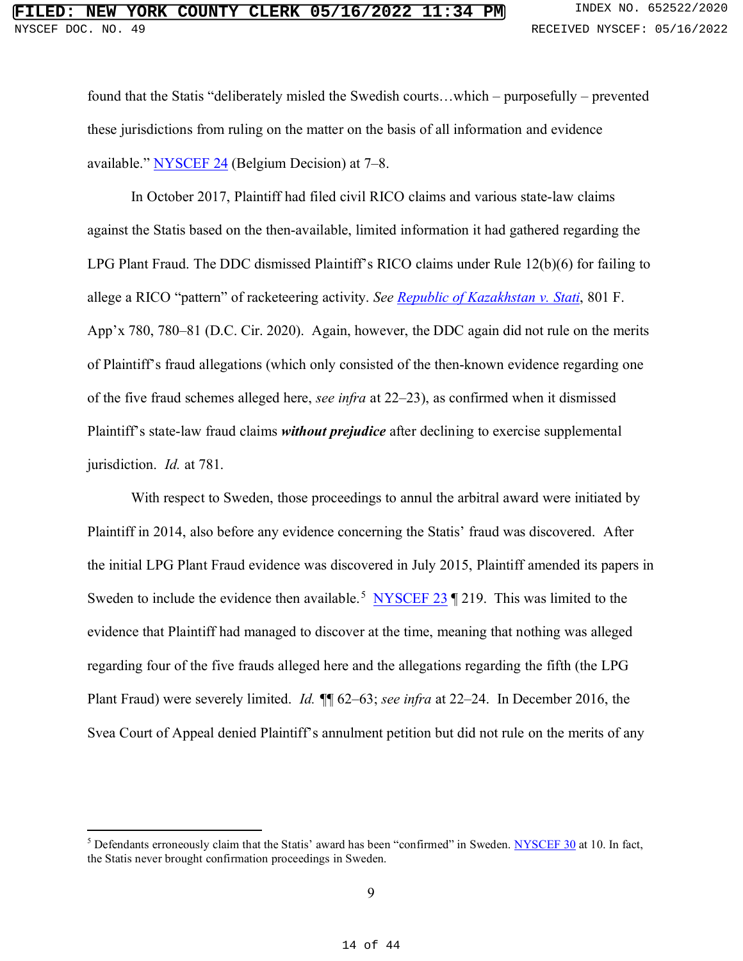found that the Statis "deliberately misled the Swedish courts…which – purposefully – prevented these jurisdictions from ruling on the matter on the basis of all information and evidence available." NYSCEF 24 (Belgium Decision) at 7–8.

In October 2017, Plaintiff had filed civil RICO claims and various state-law claims against the Statis based on the then-available, limited information it had gathered regarding the LPG Plant Fraud. The DDC dismissed Plaintiff's RICO claims under Rule 12(b)(6) for failing to allege a RICO "pattern" of racketeering activity. *See Republic of Kazakhstan v. Stati*, 801 F. App'x 780, 780–81 (D.C. Cir. 2020). Again, however, the DDC again did not rule on the merits of Plaintiff's fraud allegations (which only consisted of the then-known evidence regarding one of the five fraud schemes alleged here, *see infra* at 22–23), as confirmed when it dismissed Plaintiff's state-law fraud claims *without prejudice* after declining to exercise supplemental jurisdiction. *Id.* at 781.

With respect to Sweden, those proceedings to annul the arbitral award were initiated by Plaintiff in 2014, also before any evidence concerning the Statis' fraud was discovered. After the initial LPG Plant Fraud evidence was discovered in July 2015, Plaintiff amended its papers in Sweden to include the evidence then available.<sup>5</sup> NYSCEF 23  $\parallel$  219. This was limited to the evidence that Plaintiff had managed to discover at the time, meaning that nothing was alleged regarding four of the five frauds alleged here and the allegations regarding the fifth (the LPG Plant Fraud) were severely limited. *Id. ¶*¶ 62–63; *see infra* at 22–24. In December 2016, the Svea Court of Appeal denied Plaintiff's annulment petition but did not rule on the merits of any

<sup>5</sup> Defendants erroneously claim that the Statis' award has been "confirmed" in Sweden. NYSCEF 30 at 10. In fact, the Statis never brought confirmation proceedings in Sweden.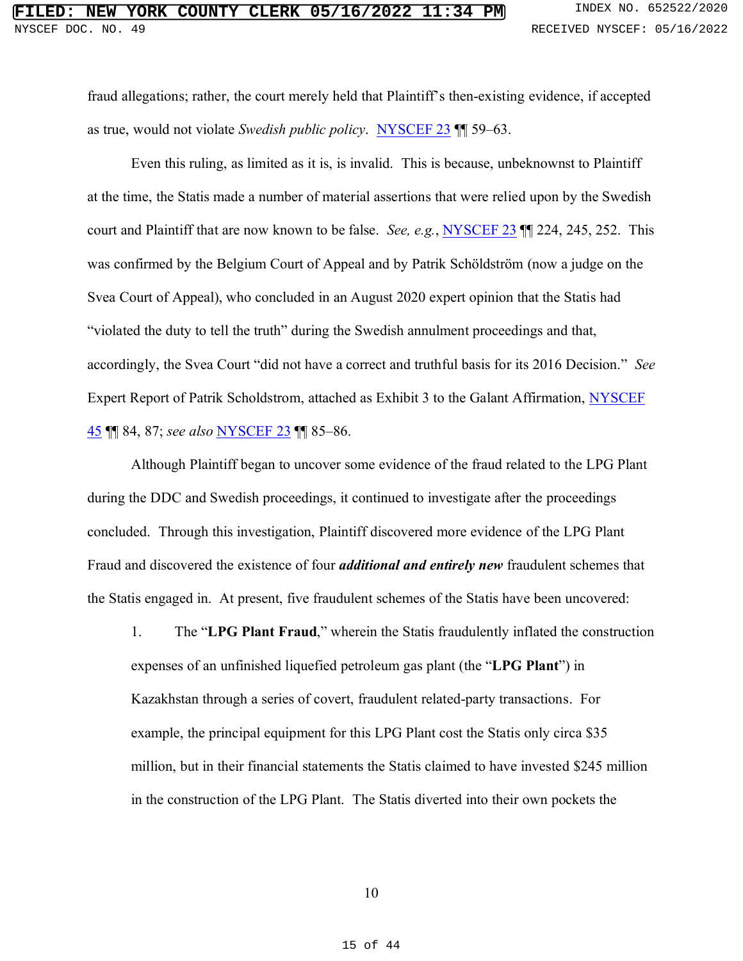fraud allegations; rather, the court merely held that Plaintiff's then-existing evidence, if accepted as true, would not violate *Swedish public policy*. NYSCEF 23 ¶¶ 59–63.

Even this ruling, as limited as it is, is invalid. This is because, unbeknownst to Plaintiff at the time, the Statis made a number of material assertions that were relied upon by the Swedish court and Plaintiff that are now known to be false. *See, e.g.*, NYSCEF 23 ¶¶ 224, 245, 252. This was confirmed by the Belgium Court of Appeal and by Patrik Schöldström (now a judge on the Svea Court of Appeal), who concluded in an August 2020 expert opinion that the Statis had "violated the duty to tell the truth" during the Swedish annulment proceedings and that, accordingly, the Svea Court "did not have a correct and truthful basis for its 2016 Decision." *See*  Expert Report of Patrik Scholdstrom, attached as Exhibit 3 to the Galant Affirmation, NYSCEF 45 ¶¶ 84, 87; *see also* NYSCEF 23 ¶¶ 85–86.

Although Plaintiff began to uncover some evidence of the fraud related to the LPG Plant during the DDC and Swedish proceedings, it continued to investigate after the proceedings concluded. Through this investigation, Plaintiff discovered more evidence of the LPG Plant Fraud and discovered the existence of four *additional and entirely new* fraudulent schemes that the Statis engaged in. At present, five fraudulent schemes of the Statis have been uncovered:

1. The "**LPG Plant Fraud**," wherein the Statis fraudulently inflated the construction expenses of an unfinished liquefied petroleum gas plant (the "**LPG Plant**") in Kazakhstan through a series of covert, fraudulent related-party transactions. For example, the principal equipment for this LPG Plant cost the Statis only circa \$35 million, but in their financial statements the Statis claimed to have invested \$245 million in the construction of the LPG Plant. The Statis diverted into their own pockets the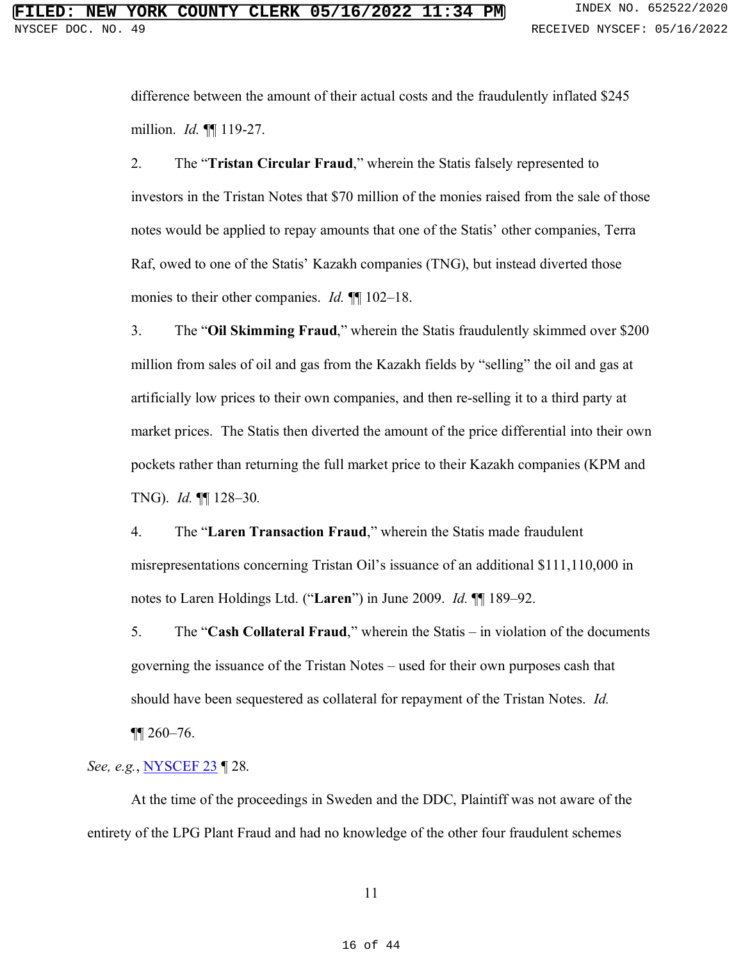difference between the amount of their actual costs and the fraudulently inflated \$245 million. *Id.* ¶¶ 119-27.

2. The "**Tristan Circular Fraud**," wherein the Statis falsely represented to investors in the Tristan Notes that \$70 million of the monies raised from the sale of those notes would be applied to repay amounts that one of the Statis' other companies, Terra Raf, owed to one of the Statis' Kazakh companies (TNG), but instead diverted those monies to their other companies. *Id.* ¶¶ 102–18.

3. The "**Oil Skimming Fraud**," wherein the Statis fraudulently skimmed over \$200 million from sales of oil and gas from the Kazakh fields by "selling" the oil and gas at artificially low prices to their own companies, and then re-selling it to a third party at market prices. The Statis then diverted the amount of the price differential into their own pockets rather than returning the full market price to their Kazakh companies (KPM and TNG). *Id.* ¶¶ 128–30*.* 

4. The "**Laren Transaction Fraud**," wherein the Statis made fraudulent misrepresentations concerning Tristan Oil's issuance of an additional \$111,110,000 in notes to Laren Holdings Ltd. ("**Laren**") in June 2009. *Id.* ¶¶ 189–92.

5. The "**Cash Collateral Fraud**," wherein the Statis – in violation of the documents governing the issuance of the Tristan Notes – used for their own purposes cash that should have been sequestered as collateral for repayment of the Tristan Notes. *Id.* 

¶¶ 260–76.

*See, e.g.*, **NYSCEF 23** | 28.

At the time of the proceedings in Sweden and the DDC, Plaintiff was not aware of the entirety of the LPG Plant Fraud and had no knowledge of the other four fraudulent schemes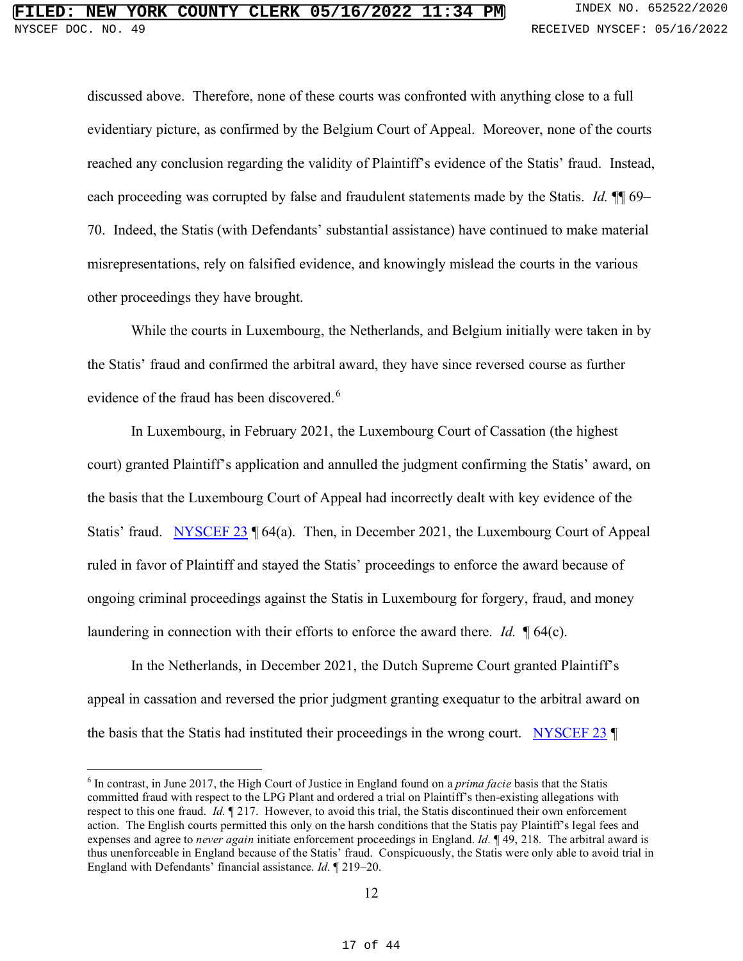discussed above. Therefore, none of these courts was confronted with anything close to a full evidentiary picture, as confirmed by the Belgium Court of Appeal. Moreover, none of the courts reached any conclusion regarding the validity of Plaintiff's evidence of the Statis' fraud. Instead, each proceeding was corrupted by false and fraudulent statements made by the Statis. *Id.* ¶¶ 69– 70. Indeed, the Statis (with Defendants' substantial assistance) have continued to make material misrepresentations, rely on falsified evidence, and knowingly mislead the courts in the various other proceedings they have brought.

While the courts in Luxembourg, the Netherlands, and Belgium initially were taken in by the Statis' fraud and confirmed the arbitral award, they have since reversed course as further evidence of the fraud has been discovered.<sup>6</sup>

In Luxembourg, in February 2021, the Luxembourg Court of Cassation (the highest court) granted Plaintiff's application and annulled the judgment confirming the Statis' award, on the basis that the Luxembourg Court of Appeal had incorrectly dealt with key evidence of the Statis' fraud. NYSCEF 23 | 64(a). Then, in December 2021, the Luxembourg Court of Appeal ruled in favor of Plaintiff and stayed the Statis' proceedings to enforce the award because of ongoing criminal proceedings against the Statis in Luxembourg for forgery, fraud, and money laundering in connection with their efforts to enforce the award there. *Id.* ¶ 64(c).

In the Netherlands, in December 2021, the Dutch Supreme Court granted Plaintiff's appeal in cassation and reversed the prior judgment granting exequatur to the arbitral award on the basis that the Statis had instituted their proceedings in the wrong court. NYSCEF 23 ¶

<sup>6</sup> In contrast, in June 2017, the High Court of Justice in England found on a *prima facie* basis that the Statis committed fraud with respect to the LPG Plant and ordered a trial on Plaintiff's then-existing allegations with respect to this one fraud. *Id.* ¶ 217. However, to avoid this trial, the Statis discontinued their own enforcement action. The English courts permitted this only on the harsh conditions that the Statis pay Plaintiff's legal fees and expenses and agree to *never again* initiate enforcement proceedings in England. *Id.* ¶ 49, 218*.* The arbitral award is thus unenforceable in England because of the Statis' fraud. Conspicuously, the Statis were only able to avoid trial in England with Defendants' financial assistance. *Id.* ¶ 219–20.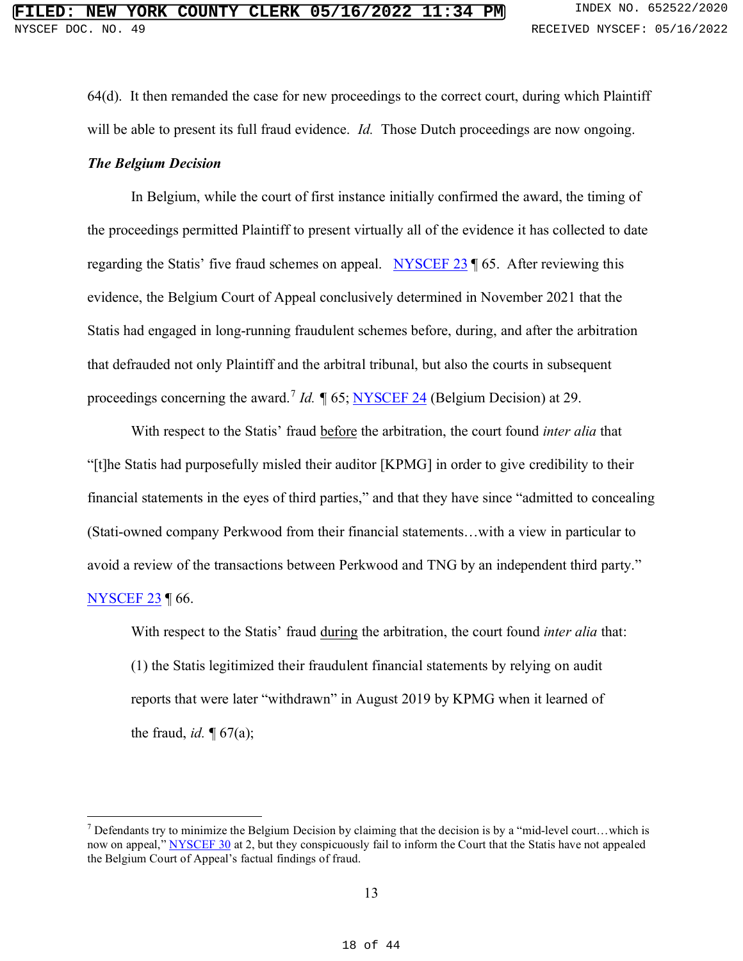64(d). It then remanded the case for new proceedings to the correct court, during which Plaintiff will be able to present its full fraud evidence. *Id.* Those Dutch proceedings are now ongoing. *The Belgium Decision* 

In Belgium, while the court of first instance initially confirmed the award, the timing of the proceedings permitted Plaintiff to present virtually all of the evidence it has collected to date regarding the Statis' five fraud schemes on appeal. NYSCEF 23 ¶ 65. After reviewing this evidence, the Belgium Court of Appeal conclusively determined in November 2021 that the Statis had engaged in long-running fraudulent schemes before, during, and after the arbitration that defrauded not only Plaintiff and the arbitral tribunal, but also the courts in subsequent proceedings concerning the award.<sup>7</sup> *Id*. ¶ 65; NYSCEF 24 (Belgium Decision) at 29.

With respect to the Statis' fraud before the arbitration, the court found *inter alia* that "[t]he Statis had purposefully misled their auditor [KPMG] in order to give credibility to their financial statements in the eyes of third parties," and that they have since "admitted to concealing (Stati-owned company Perkwood from their financial statements…with a view in particular to avoid a review of the transactions between Perkwood and TNG by an independent third party." NYSCEF 23 ¶ 66.

With respect to the Statis' fraud during the arbitration, the court found *inter alia* that: (1) the Statis legitimized their fraudulent financial statements by relying on audit reports that were later "withdrawn" in August 2019 by KPMG when it learned of the fraud, *id.* ¶ 67(a);

 $7$  Defendants try to minimize the Belgium Decision by claiming that the decision is by a "mid-level court...which is now on appeal," NYSCEF 30 at 2, but they conspicuously fail to inform the Court that the Statis have not appealed the Belgium Court of Appeal's factual findings of fraud.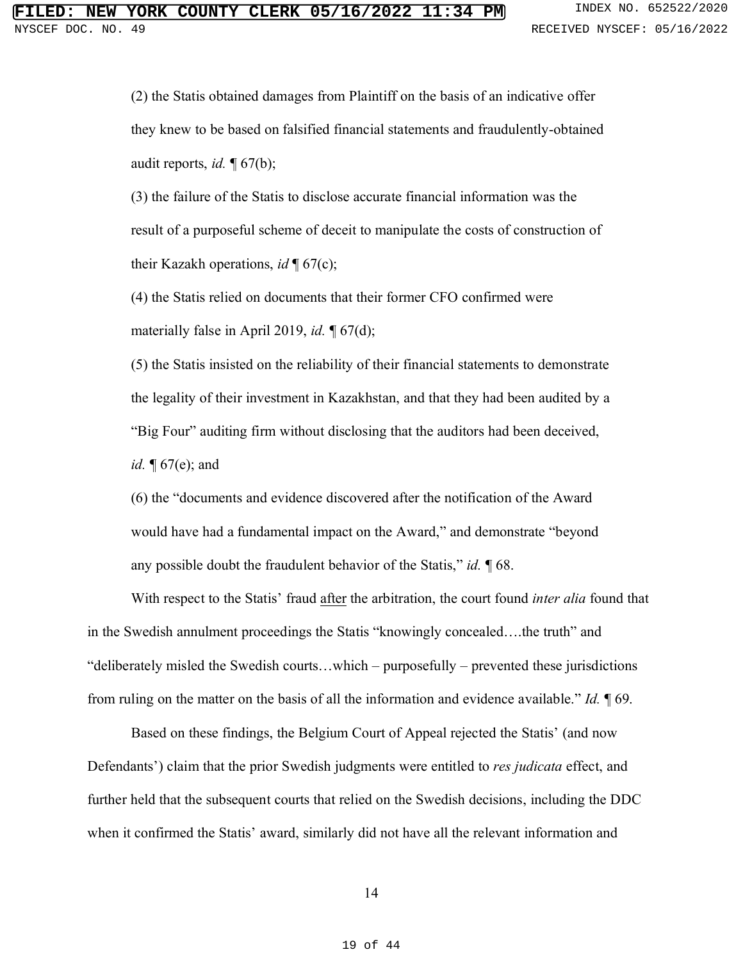(2) the Statis obtained damages from Plaintiff on the basis of an indicative offer they knew to be based on falsified financial statements and fraudulently-obtained audit reports, *id.* ¶ 67(b);

(3) the failure of the Statis to disclose accurate financial information was the result of a purposeful scheme of deceit to manipulate the costs of construction of their Kazakh operations, *id* ¶ 67(c);

(4) the Statis relied on documents that their former CFO confirmed were materially false in April 2019, *id.* ¶ 67(d);

(5) the Statis insisted on the reliability of their financial statements to demonstrate the legality of their investment in Kazakhstan, and that they had been audited by a "Big Four" auditing firm without disclosing that the auditors had been deceived, *id.* ¶ 67(e); and

(6) the "documents and evidence discovered after the notification of the Award would have had a fundamental impact on the Award," and demonstrate "beyond any possible doubt the fraudulent behavior of the Statis," *id.* ¶ 68.

With respect to the Statis' fraud after the arbitration, the court found *inter alia* found that in the Swedish annulment proceedings the Statis "knowingly concealed….the truth" and "deliberately misled the Swedish courts…which – purposefully – prevented these jurisdictions from ruling on the matter on the basis of all the information and evidence available." *Id.* ¶ 69.

Based on these findings, the Belgium Court of Appeal rejected the Statis' (and now Defendants') claim that the prior Swedish judgments were entitled to *res judicata* effect, and further held that the subsequent courts that relied on the Swedish decisions, including the DDC when it confirmed the Statis' award, similarly did not have all the relevant information and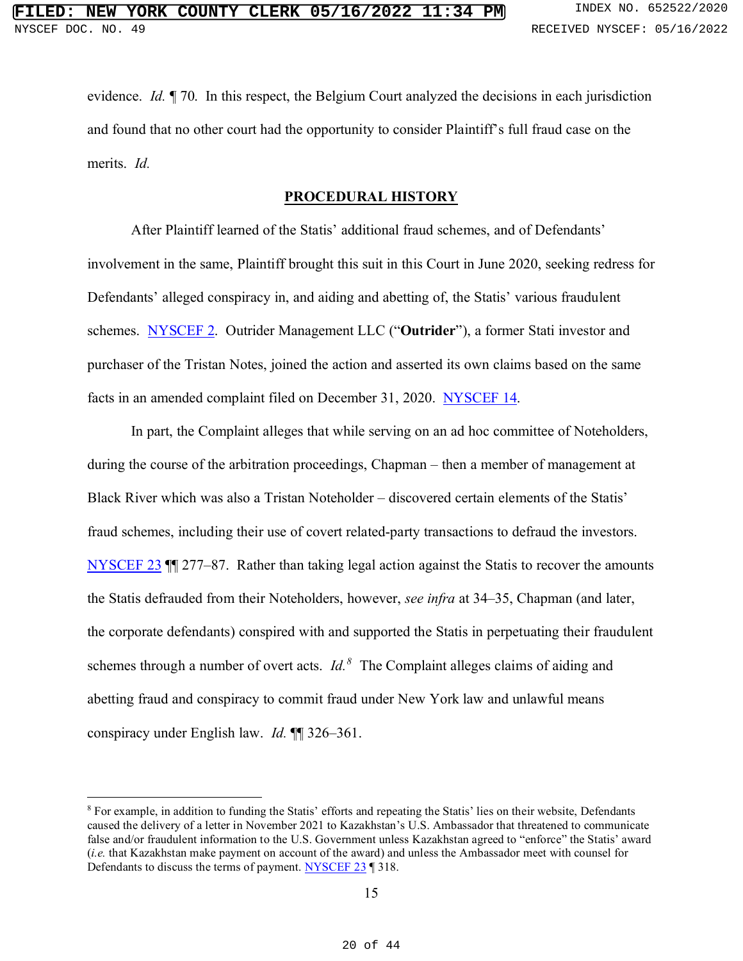evidence. *Id.* ¶ 70. In this respect, the Belgium Court analyzed the decisions in each jurisdiction and found that no other court had the opportunity to consider Plaintiff's full fraud case on the merits. *Id.* 

#### **PROCEDURAL HISTORY**

After Plaintiff learned of the Statis' additional fraud schemes, and of Defendants' involvement in the same, Plaintiff brought this suit in this Court in June 2020, seeking redress for Defendants' alleged conspiracy in, and aiding and abetting of, the Statis' various fraudulent schemes. NYSCEF 2. Outrider Management LLC ("**Outrider**"), a former Stati investor and purchaser of the Tristan Notes, joined the action and asserted its own claims based on the same facts in an amended complaint filed on December 31, 2020. NYSCEF 14.

In part, the Complaint alleges that while serving on an ad hoc committee of Noteholders, during the course of the arbitration proceedings, Chapman – then a member of management at Black River which was also a Tristan Noteholder – discovered certain elements of the Statis' fraud schemes, including their use of covert related-party transactions to defraud the investors. NYSCEF 23 ¶¶ 277–87. Rather than taking legal action against the Statis to recover the amounts the Statis defrauded from their Noteholders, however, *see infra* at 34–35, Chapman (and later, the corporate defendants) conspired with and supported the Statis in perpetuating their fraudulent schemes through a number of overt acts. *Id.<sup>8</sup>* The Complaint alleges claims of aiding and abetting fraud and conspiracy to commit fraud under New York law and unlawful means conspiracy under English law. *Id.* ¶¶ 326–361.

<sup>8</sup> For example, in addition to funding the Statis' efforts and repeating the Statis' lies on their website, Defendants caused the delivery of a letter in November 2021 to Kazakhstan's U.S. Ambassador that threatened to communicate false and/or fraudulent information to the U.S. Government unless Kazakhstan agreed to "enforce" the Statis' award (*i.e.* that Kazakhstan make payment on account of the award) and unless the Ambassador meet with counsel for Defendants to discuss the terms of payment. NYSCEF 23 ¶ 318.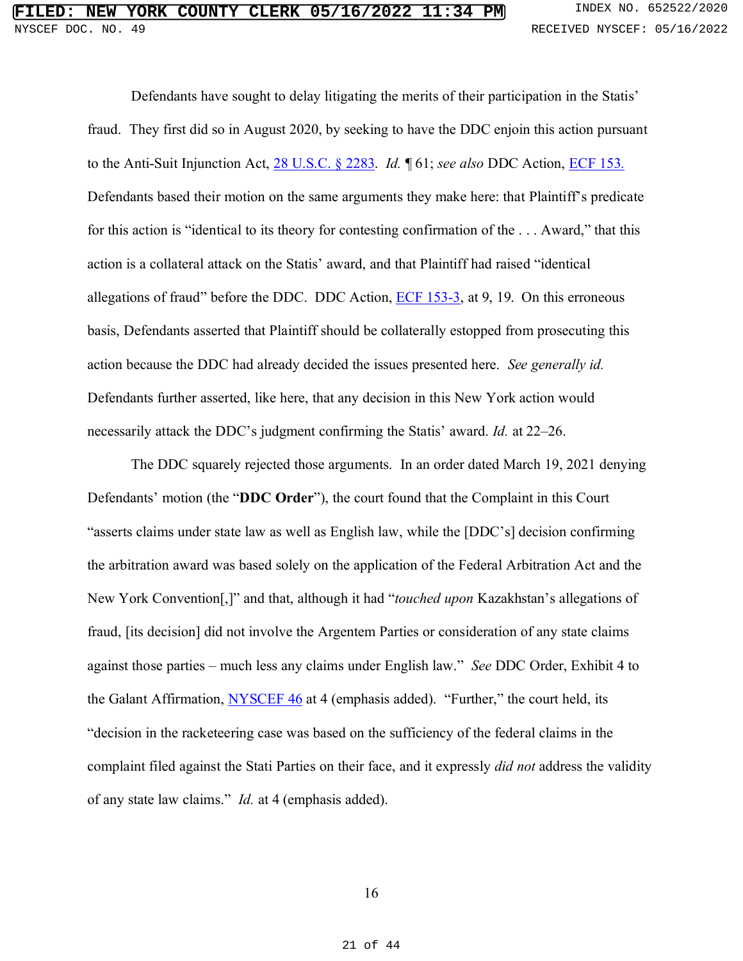Defendants have sought to delay litigating the merits of their participation in the Statis' fraud. They first did so in August 2020, by seeking to have the DDC enjoin this action pursuant to the Anti-Suit Injunction Act, 28 U.S.C. § 2283. *Id.* ¶ 61; *see also* DDC Action, ECF 153*.* Defendants based their motion on the same arguments they make here: that Plaintiff's predicate for this action is "identical to its theory for contesting confirmation of the . . . Award," that this action is a collateral attack on the Statis' award, and that Plaintiff had raised "identical allegations of fraud" before the DDC. DDC Action, ECF 153-3, at 9, 19. On this erroneous basis, Defendants asserted that Plaintiff should be collaterally estopped from prosecuting this action because the DDC had already decided the issues presented here. *See generally id.* Defendants further asserted, like here, that any decision in this New York action would necessarily attack the DDC's judgment confirming the Statis' award. *Id.* at 22–26.

The DDC squarely rejected those arguments. In an order dated March 19, 2021 denying Defendants' motion (the "**DDC Order**"), the court found that the Complaint in this Court "asserts claims under state law as well as English law, while the [DDC's] decision confirming the arbitration award was based solely on the application of the Federal Arbitration Act and the New York Convention[,]" and that, although it had "*touched upon* Kazakhstan's allegations of fraud, [its decision] did not involve the Argentem Parties or consideration of any state claims against those parties – much less any claims under English law." *See* DDC Order, Exhibit 4 to the Galant Affirmation, **NYSCEF 46** at 4 (emphasis added). "Further," the court held, its "decision in the racketeering case was based on the sufficiency of the federal claims in the complaint filed against the Stati Parties on their face, and it expressly *did not* address the validity of any state law claims." *Id.* at 4 (emphasis added).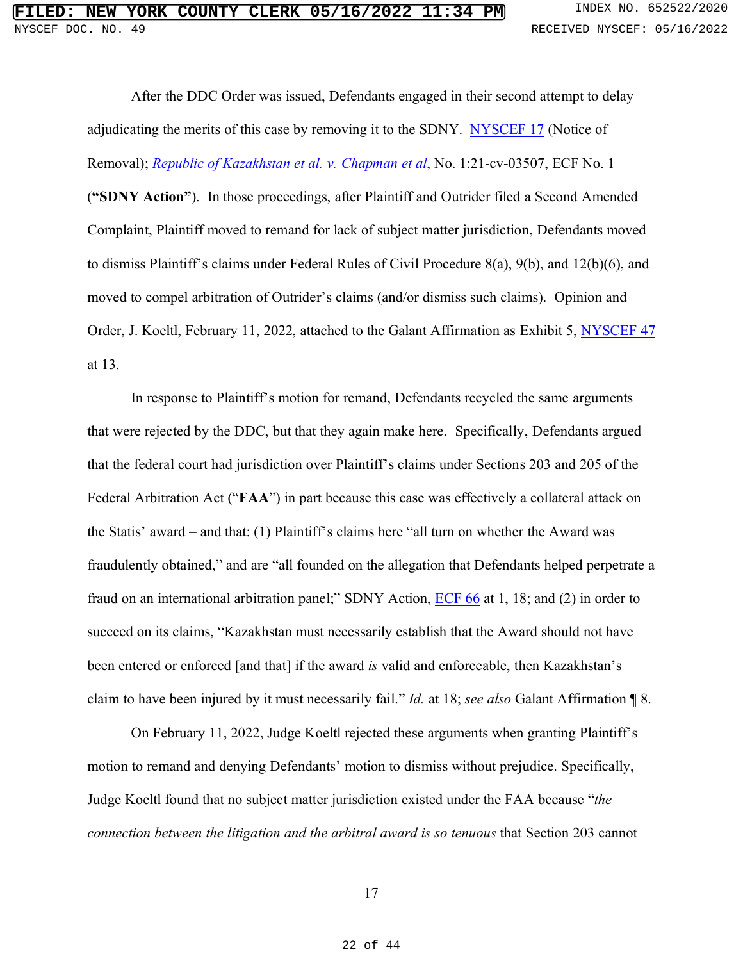After the DDC Order was issued, Defendants engaged in their second attempt to delay adjudicating the merits of this case by removing it to the SDNY. NYSCEF 17 (Notice of Removal); *Republic of Kazakhstan et al. v. Chapman et al*, No. 1:21-cv-03507, ECF No. 1 (**"SDNY Action"**). In those proceedings, after Plaintiff and Outrider filed a Second Amended Complaint, Plaintiff moved to remand for lack of subject matter jurisdiction, Defendants moved to dismiss Plaintiff's claims under Federal Rules of Civil Procedure 8(a), 9(b), and 12(b)(6), and moved to compel arbitration of Outrider's claims (and/or dismiss such claims). Opinion and Order, J. Koeltl, February 11, 2022, attached to the Galant Affirmation as Exhibit 5, NYSCEF 47 at 13.

In response to Plaintiff's motion for remand, Defendants recycled the same arguments that were rejected by the DDC, but that they again make here. Specifically, Defendants argued that the federal court had jurisdiction over Plaintiff's claims under Sections 203 and 205 of the Federal Arbitration Act ("**FAA**") in part because this case was effectively a collateral attack on the Statis' award – and that: (1) Plaintiff's claims here "all turn on whether the Award was fraudulently obtained," and are "all founded on the allegation that Defendants helped perpetrate a fraud on an international arbitration panel;" SDNY Action, ECF 66 at 1, 18; and (2) in order to succeed on its claims, "Kazakhstan must necessarily establish that the Award should not have been entered or enforced [and that] if the award *is* valid and enforceable, then Kazakhstan's claim to have been injured by it must necessarily fail." *Id.* at 18; *see also* Galant Affirmation ¶ 8.

On February 11, 2022, Judge Koeltl rejected these arguments when granting Plaintiff's motion to remand and denying Defendants' motion to dismiss without prejudice. Specifically, Judge Koeltl found that no subject matter jurisdiction existed under the FAA because "*the connection between the litigation and the arbitral award is so tenuous* that Section 203 cannot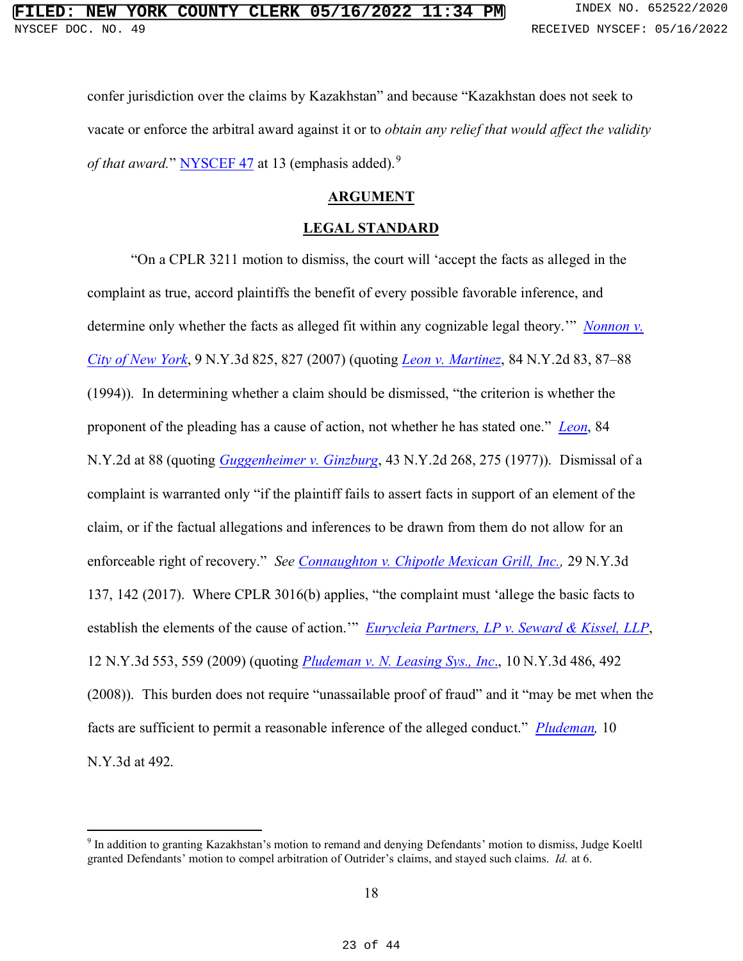confer jurisdiction over the claims by Kazakhstan" and because "Kazakhstan does not seek to vacate or enforce the arbitral award against it or to *obtain any relief that would affect the validity*  of that award." NYSCEF 47 at 13 (emphasis added).<sup>9</sup>

#### **ARGUMENT**

#### **LEGAL STANDARD**

"On a CPLR 3211 motion to dismiss, the court will 'accept the facts as alleged in the complaint as true, accord plaintiffs the benefit of every possible favorable inference, and determine only whether the facts as alleged fit within any cognizable legal theory.'" *Nonnon v. City of New York*, 9 N.Y.3d 825, 827 (2007) (quoting *Leon v. Martinez*, 84 N.Y.2d 83, 87–88 (1994)). In determining whether a claim should be dismissed, "the criterion is whether the proponent of the pleading has a cause of action, not whether he has stated one." *Leon*, 84 N.Y.2d at 88 (quoting *Guggenheimer v. Ginzburg*, 43 N.Y.2d 268, 275 (1977)). Dismissal of a complaint is warranted only "if the plaintiff fails to assert facts in support of an element of the claim, or if the factual allegations and inferences to be drawn from them do not allow for an enforceable right of recovery." *See Connaughton v. Chipotle Mexican Grill, Inc.,* 29 N.Y.3d 137, 142 (2017). Where CPLR 3016(b) applies, "the complaint must 'allege the basic facts to establish the elements of the cause of action."" *Eurycleia Partners, LP v. Seward & Kissel, LLP*, 12 N.Y.3d 553, 559 (2009) (quoting *Pludeman v. N. Leasing Sys., Inc*., 10 N.Y.3d 486, 492 (2008)). This burden does not require "unassailable proof of fraud" and it "may be met when the facts are sufficient to permit a reasonable inference of the alleged conduct." *Pludeman,* 10 N.Y.3d at 492.

<sup>&</sup>lt;sup>9</sup> In addition to granting Kazakhstan's motion to remand and denying Defendants' motion to dismiss, Judge Koeltl granted Defendants' motion to compel arbitration of Outrider's claims, and stayed such claims. *Id.* at 6.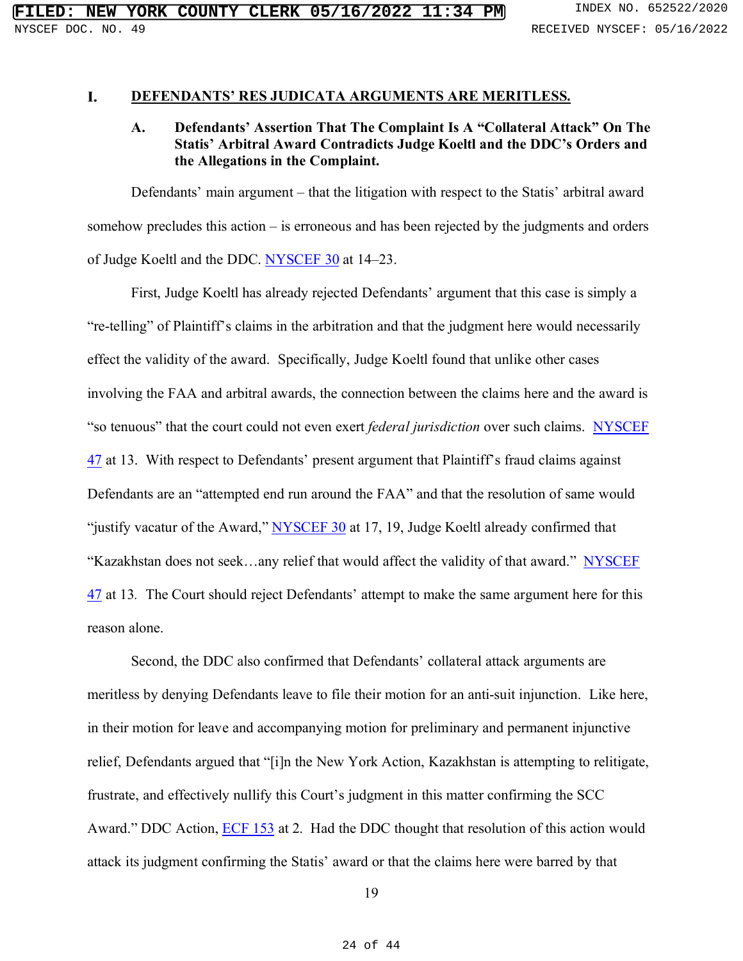#### I. **DEFENDANTS' RES JUDICATA ARGUMENTS ARE MERITLESS.**

#### **A. Defendants' Assertion That The Complaint Is A "Collateral Attack" On The Statis' Arbitral Award Contradicts Judge Koeltl and the DDC's Orders and the Allegations in the Complaint.**

Defendants' main argument – that the litigation with respect to the Statis' arbitral award somehow precludes this action – is erroneous and has been rejected by the judgments and orders of Judge Koeltl and the DDC. NYSCEF 30 at 14–23.

First, Judge Koeltl has already rejected Defendants' argument that this case is simply a "re-telling" of Plaintiff's claims in the arbitration and that the judgment here would necessarily effect the validity of the award. Specifically, Judge Koeltl found that unlike other cases involving the FAA and arbitral awards, the connection between the claims here and the award is "so tenuous" that the court could not even exert *federal jurisdiction* over such claims. NYSCEF 47 at 13. With respect to Defendants' present argument that Plaintiff's fraud claims against Defendants are an "attempted end run around the FAA" and that the resolution of same would "justify vacatur of the Award," NYSCEF 30 at 17, 19, Judge Koeltl already confirmed that "Kazakhstan does not seek…any relief that would affect the validity of that award." NYSCEF 47 at 13*.* The Court should reject Defendants' attempt to make the same argument here for this reason alone.

Second, the DDC also confirmed that Defendants' collateral attack arguments are meritless by denying Defendants leave to file their motion for an anti-suit injunction. Like here, in their motion for leave and accompanying motion for preliminary and permanent injunctive relief, Defendants argued that "[i]n the New York Action, Kazakhstan is attempting to relitigate, frustrate, and effectively nullify this Court's judgment in this matter confirming the SCC Award." DDC Action, ECF 153 at 2. Had the DDC thought that resolution of this action would attack its judgment confirming the Statis' award or that the claims here were barred by that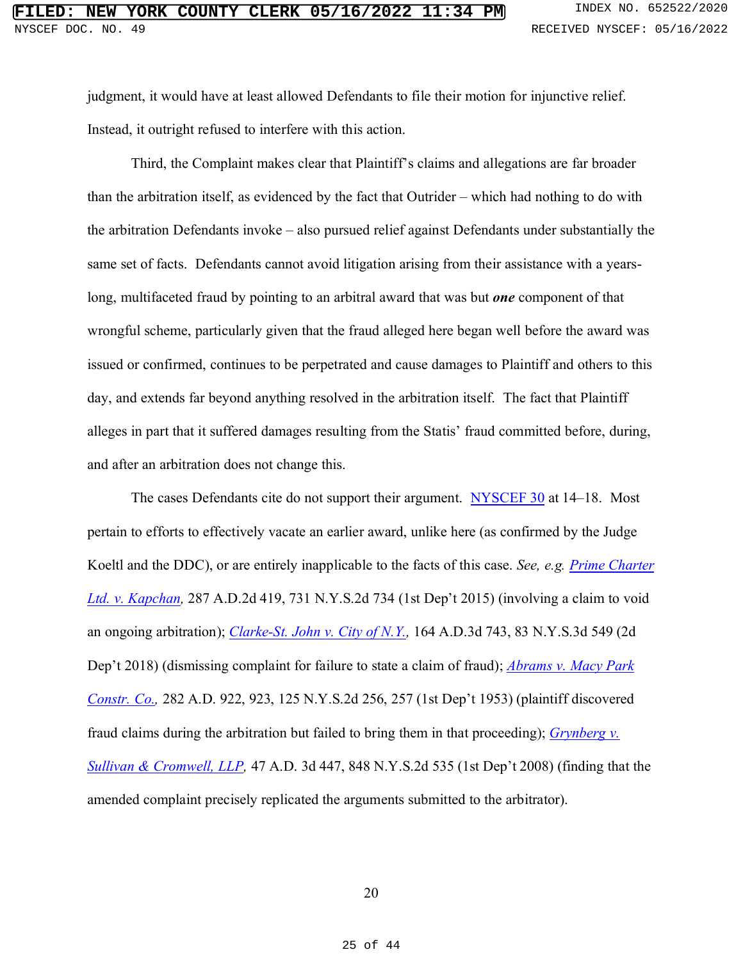judgment, it would have at least allowed Defendants to file their motion for injunctive relief. Instead, it outright refused to interfere with this action.

Third, the Complaint makes clear that Plaintiff's claims and allegations are far broader than the arbitration itself, as evidenced by the fact that Outrider – which had nothing to do with the arbitration Defendants invoke – also pursued relief against Defendants under substantially the same set of facts. Defendants cannot avoid litigation arising from their assistance with a yearslong, multifaceted fraud by pointing to an arbitral award that was but *one* component of that wrongful scheme, particularly given that the fraud alleged here began well before the award was issued or confirmed, continues to be perpetrated and cause damages to Plaintiff and others to this day, and extends far beyond anything resolved in the arbitration itself. The fact that Plaintiff alleges in part that it suffered damages resulting from the Statis' fraud committed before, during, and after an arbitration does not change this.

The cases Defendants cite do not support their argument. NYSCEF 30 at 14–18. Most pertain to efforts to effectively vacate an earlier award, unlike here (as confirmed by the Judge Koeltl and the DDC), or are entirely inapplicable to the facts of this case. *See, e.g. Prime Charter Ltd. v. Kapchan,* 287 A.D.2d 419, 731 N.Y.S.2d 734 (1st Dep't 2015) (involving a claim to void an ongoing arbitration); *Clarke-St. John v. City of N.Y.,* 164 A.D.3d 743, 83 N.Y.S.3d 549 (2d Dep't 2018) (dismissing complaint for failure to state a claim of fraud); *Abrams v. Macy Park Constr. Co.,* 282 A.D. 922, 923, 125 N.Y.S.2d 256, 257 (1st Dep't 1953) (plaintiff discovered fraud claims during the arbitration but failed to bring them in that proceeding); *Grynberg v. Sullivan & Cromwell, LLP,* 47 A.D. 3d 447, 848 N.Y.S.2d 535 (1st Dep't 2008) (finding that the amended complaint precisely replicated the arguments submitted to the arbitrator).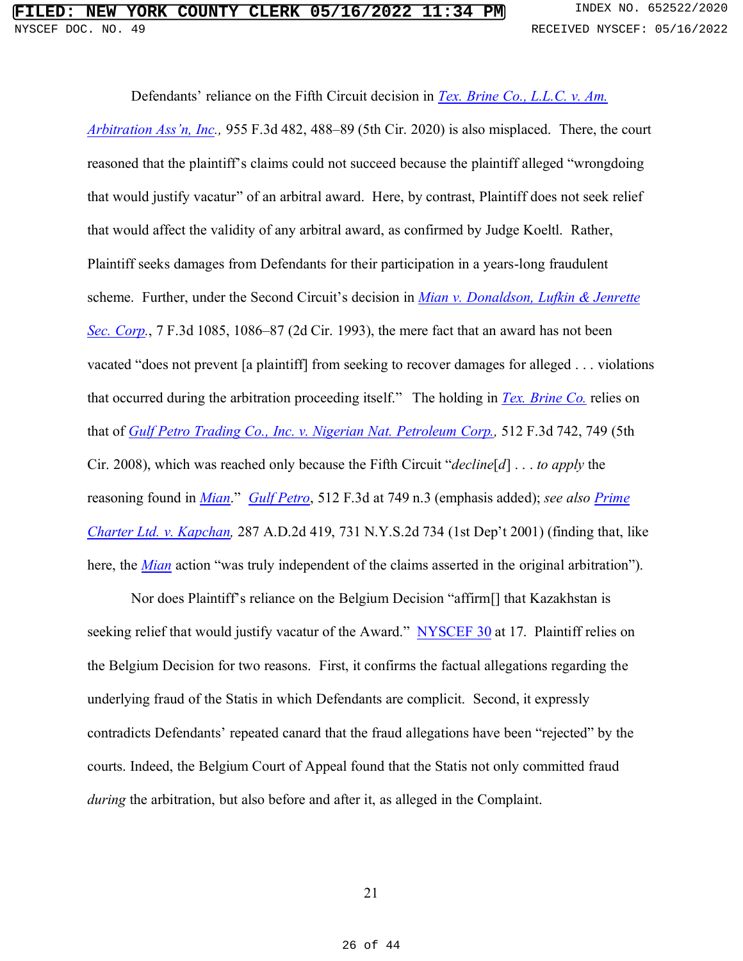Defendants' reliance on the Fifth Circuit decision in *Tex. Brine Co., L.L.C. v. Am. Arbitration Ass'n, Inc.,* 955 F.3d 482, 488–89 (5th Cir. 2020) is also misplaced. There, the court reasoned that the plaintiff's claims could not succeed because the plaintiff alleged "wrongdoing that would justify vacatur" of an arbitral award. Here, by contrast, Plaintiff does not seek relief that would affect the validity of any arbitral award, as confirmed by Judge Koeltl. Rather, Plaintiff seeks damages from Defendants for their participation in a years-long fraudulent scheme. Further, under the Second Circuit's decision in *Mian v. Donaldson, Lufkin & Jenrette Sec. Corp.*, 7 F.3d 1085, 1086–87 (2d Cir. 1993), the mere fact that an award has not been vacated "does not prevent [a plaintiff] from seeking to recover damages for alleged . . . violations that occurred during the arbitration proceeding itself." The holding in *Tex. Brine Co.* relies on that of *Gulf Petro Trading Co., Inc. v. Nigerian Nat. Petroleum Corp.,* 512 F.3d 742, 749 (5th Cir. 2008), which was reached only because the Fifth Circuit "*decline*[*d*] . . . *to apply* the reasoning found in *Mian*." *Gulf Petro*, 512 F.3d at 749 n.3 (emphasis added); *see also Prime Charter Ltd. v. Kapchan,* 287 A.D.2d 419, 731 N.Y.S.2d 734 (1st Dep't 2001) (finding that, like here, the *Mian* action "was truly independent of the claims asserted in the original arbitration").

Nor does Plaintiff's reliance on the Belgium Decision "affirm[] that Kazakhstan is seeking relief that would justify vacatur of the Award." NYSCEF 30 at 17. Plaintiff relies on the Belgium Decision for two reasons. First, it confirms the factual allegations regarding the underlying fraud of the Statis in which Defendants are complicit. Second, it expressly contradicts Defendants' repeated canard that the fraud allegations have been "rejected" by the courts. Indeed, the Belgium Court of Appeal found that the Statis not only committed fraud *during* the arbitration, but also before and after it, as alleged in the Complaint.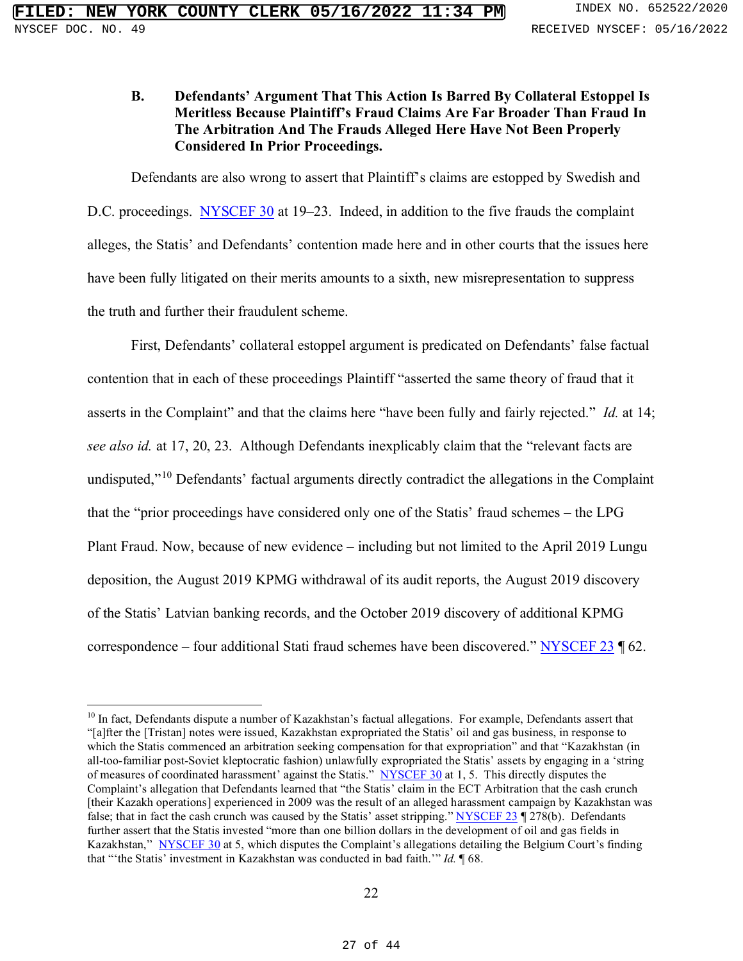#### **B. Defendants' Argument That This Action Is Barred By Collateral Estoppel Is Meritless Because Plaintiff's Fraud Claims Are Far Broader Than Fraud In The Arbitration And The Frauds Alleged Here Have Not Been Properly Considered In Prior Proceedings.**

Defendants are also wrong to assert that Plaintiff's claims are estopped by Swedish and D.C. proceedings. NYSCEF 30 at 19–23. Indeed, in addition to the five frauds the complaint alleges, the Statis' and Defendants' contention made here and in other courts that the issues here have been fully litigated on their merits amounts to a sixth, new misrepresentation to suppress the truth and further their fraudulent scheme.

First, Defendants' collateral estoppel argument is predicated on Defendants' false factual contention that in each of these proceedings Plaintiff "asserted the same theory of fraud that it asserts in the Complaint" and that the claims here "have been fully and fairly rejected." *Id.* at 14; *see also id.* at 17, 20, 23. Although Defendants inexplicably claim that the "relevant facts are undisputed,"<sup>10</sup> Defendants' factual arguments directly contradict the allegations in the Complaint that the "prior proceedings have considered only one of the Statis' fraud schemes – the LPG Plant Fraud. Now, because of new evidence – including but not limited to the April 2019 Lungu deposition, the August 2019 KPMG withdrawal of its audit reports, the August 2019 discovery of the Statis' Latvian banking records, and the October 2019 discovery of additional KPMG correspondence – four additional Stati fraud schemes have been discovered." NYSCEF 23 162.

 $10$  In fact, Defendants dispute a number of Kazakhstan's factual allegations. For example, Defendants assert that "[a]fter the [Tristan] notes were issued, Kazakhstan expropriated the Statis' oil and gas business, in response to which the Statis commenced an arbitration seeking compensation for that expropriation" and that "Kazakhstan (in all-too-familiar post-Soviet kleptocratic fashion) unlawfully expropriated the Statis' assets by engaging in a 'string of measures of coordinated harassment' against the Statis." NYSCEF 30 at 1, 5. This directly disputes the Complaint's allegation that Defendants learned that "the Statis' claim in the ECT Arbitration that the cash crunch [their Kazakh operations] experienced in 2009 was the result of an alleged harassment campaign by Kazakhstan was false; that in fact the cash crunch was caused by the Statis' asset stripping." NYSCEF 23 ¶ 278(b). Defendants further assert that the Statis invested "more than one billion dollars in the development of oil and gas fields in Kazakhstan," NYSCEF 30 at 5, which disputes the Complaint's allegations detailing the Belgium Court's finding that "'the Statis' investment in Kazakhstan was conducted in bad faith.'" *Id.* ¶ 68.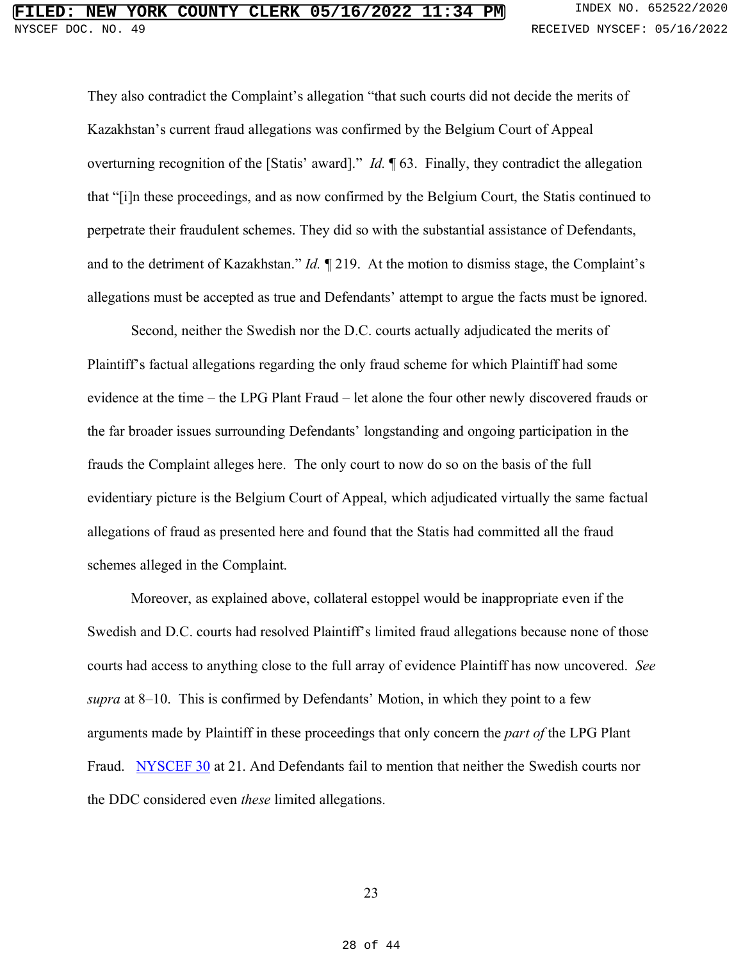They also contradict the Complaint's allegation "that such courts did not decide the merits of Kazakhstan's current fraud allegations was confirmed by the Belgium Court of Appeal overturning recognition of the [Statis' award]." *Id.* ¶ 63. Finally, they contradict the allegation that "[i]n these proceedings, and as now confirmed by the Belgium Court, the Statis continued to perpetrate their fraudulent schemes. They did so with the substantial assistance of Defendants, and to the detriment of Kazakhstan." *Id.* ¶ 219. At the motion to dismiss stage, the Complaint's allegations must be accepted as true and Defendants' attempt to argue the facts must be ignored.

Second, neither the Swedish nor the D.C. courts actually adjudicated the merits of Plaintiff's factual allegations regarding the only fraud scheme for which Plaintiff had some evidence at the time – the LPG Plant Fraud – let alone the four other newly discovered frauds or the far broader issues surrounding Defendants' longstanding and ongoing participation in the frauds the Complaint alleges here. The only court to now do so on the basis of the full evidentiary picture is the Belgium Court of Appeal, which adjudicated virtually the same factual allegations of fraud as presented here and found that the Statis had committed all the fraud schemes alleged in the Complaint.

Moreover, as explained above, collateral estoppel would be inappropriate even if the Swedish and D.C. courts had resolved Plaintiff's limited fraud allegations because none of those courts had access to anything close to the full array of evidence Plaintiff has now uncovered. *See supra* at 8–10. This is confirmed by Defendants' Motion, in which they point to a few arguments made by Plaintiff in these proceedings that only concern the *part of* the LPG Plant Fraud. NYSCEF 30 at 21. And Defendants fail to mention that neither the Swedish courts nor the DDC considered even *these* limited allegations.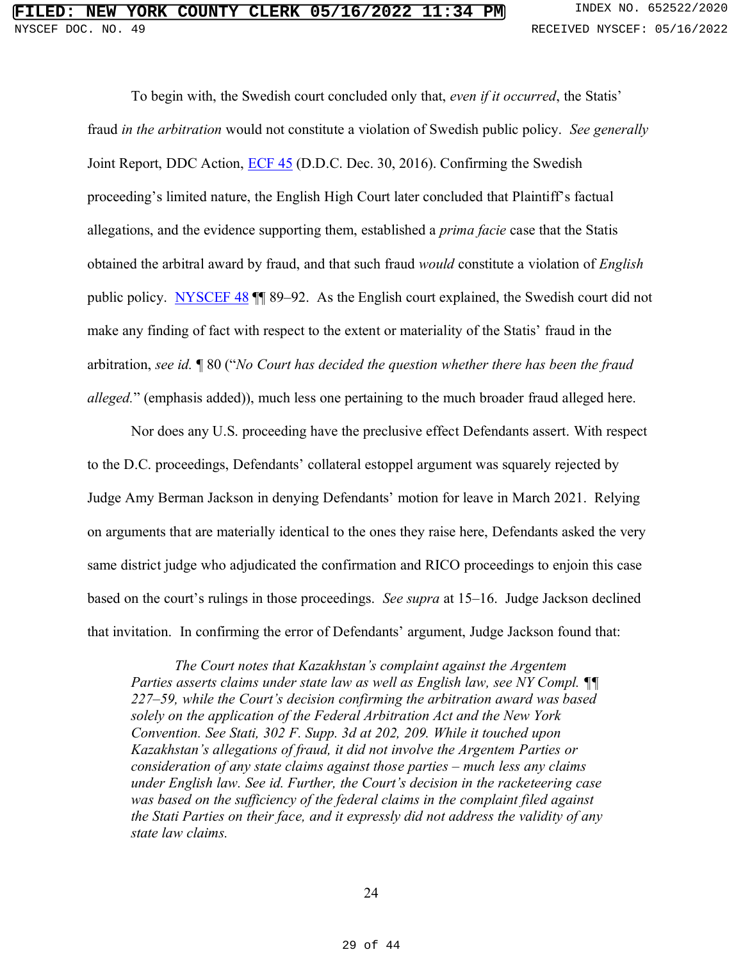To begin with, the Swedish court concluded only that, *even if it occurred*, the Statis' fraud *in the arbitration* would not constitute a violation of Swedish public policy. *See generally*  Joint Report, DDC Action, ECF 45 (D.D.C. Dec. 30, 2016). Confirming the Swedish proceeding's limited nature, the English High Court later concluded that Plaintiff's factual allegations, and the evidence supporting them, established a *prima facie* case that the Statis obtained the arbitral award by fraud, and that such fraud *would* constitute a violation of *English* public policy. NYSCEF 48  $\parallel$  89–92. As the English court explained, the Swedish court did not make any finding of fact with respect to the extent or materiality of the Statis' fraud in the arbitration, *see id.* ¶ 80 ("*No Court has decided the question whether there has been the fraud alleged.*" (emphasis added)), much less one pertaining to the much broader fraud alleged here.

Nor does any U.S. proceeding have the preclusive effect Defendants assert. With respect to the D.C. proceedings, Defendants' collateral estoppel argument was squarely rejected by Judge Amy Berman Jackson in denying Defendants' motion for leave in March 2021. Relying on arguments that are materially identical to the ones they raise here, Defendants asked the very same district judge who adjudicated the confirmation and RICO proceedings to enjoin this case based on the court's rulings in those proceedings. *See supra* at 15–16. Judge Jackson declined that invitation. In confirming the error of Defendants' argument, Judge Jackson found that:

*The Court notes that Kazakhstan's complaint against the Argentem Parties asserts claims under state law as well as English law, see NY Compl. ¶¶ 227–59, while the Court's decision confirming the arbitration award was based solely on the application of the Federal Arbitration Act and the New York Convention. See Stati, 302 F. Supp. 3d at 202, 209. While it touched upon Kazakhstan's allegations of fraud, it did not involve the Argentem Parties or consideration of any state claims against those parties – much less any claims under English law. See id. Further, the Court's decision in the racketeering case*  was based on the sufficiency of the federal claims in the complaint filed against *the Stati Parties on their face, and it expressly did not address the validity of any state law claims.*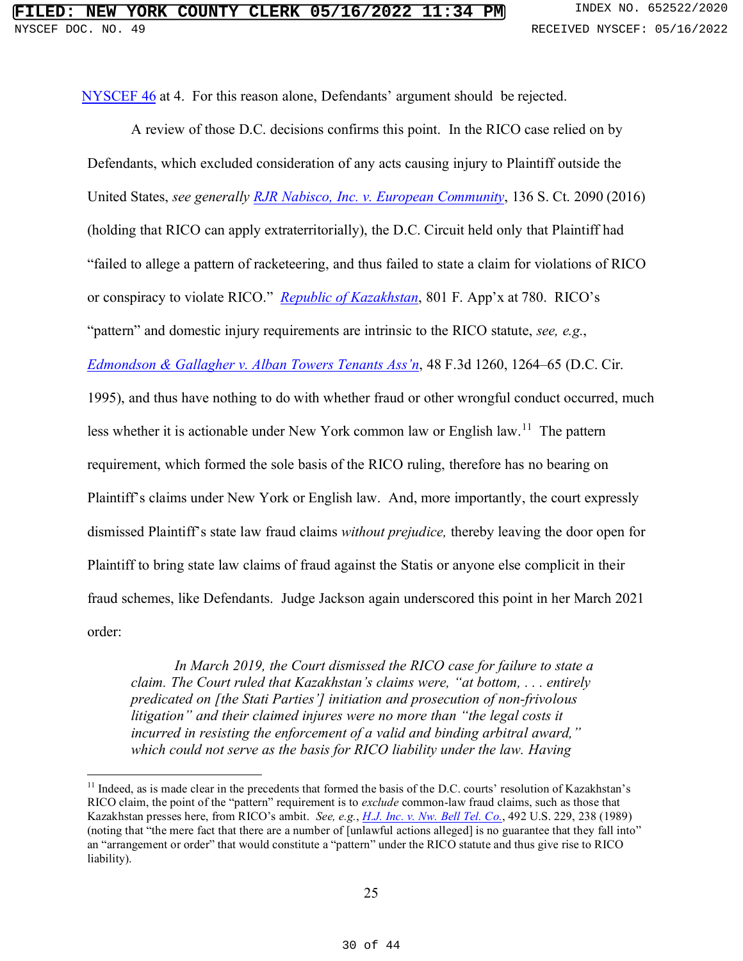NYSCEF 46 at 4. For this reason alone, Defendants' argument should be rejected.

A review of those D.C. decisions confirms this point. In the RICO case relied on by Defendants, which excluded consideration of any acts causing injury to Plaintiff outside the United States, *see generally RJR Nabisco, Inc. v. European Community*, 136 S. Ct. 2090 (2016) (holding that RICO can apply extraterritorially), the D.C. Circuit held only that Plaintiff had "failed to allege a pattern of racketeering, and thus failed to state a claim for violations of RICO or conspiracy to violate RICO." *Republic of Kazakhstan*, 801 F. App'x at 780. RICO's "pattern" and domestic injury requirements are intrinsic to the RICO statute, *see, e.g.*, *Edmondson & Gallagher v. Alban Towers Tenants Ass'n*, 48 F.3d 1260, 1264–65 (D.C. Cir. 1995), and thus have nothing to do with whether fraud or other wrongful conduct occurred, much less whether it is actionable under New York common law or English law.<sup>11</sup> The pattern requirement, which formed the sole basis of the RICO ruling, therefore has no bearing on Plaintiff's claims under New York or English law. And, more importantly, the court expressly dismissed Plaintiff's state law fraud claims *without prejudice,* thereby leaving the door open for Plaintiff to bring state law claims of fraud against the Statis or anyone else complicit in their fraud schemes, like Defendants. Judge Jackson again underscored this point in her March 2021 order:

*In March 2019, the Court dismissed the RICO case for failure to state a claim. The Court ruled that Kazakhstan's claims were, "at bottom, . . . entirely predicated on [the Stati Parties'] initiation and prosecution of non-frivolous litigation" and their claimed injures were no more than "the legal costs it incurred in resisting the enforcement of a valid and binding arbitral award," which could not serve as the basis for RICO liability under the law. Having* 

 $<sup>11</sup>$  Indeed, as is made clear in the precedents that formed the basis of the D.C. courts' resolution of Kazakhstan's</sup> RICO claim, the point of the "pattern" requirement is to *exclude* common-law fraud claims, such as those that Kazakhstan presses here, from RICO's ambit. *See, e.g.*, *H.J. Inc. v. Nw. Bell Tel. Co.*, 492 U.S. 229, 238 (1989) (noting that "the mere fact that there are a number of [unlawful actions alleged] is no guarantee that they fall into" an "arrangement or order" that would constitute a "pattern" under the RICO statute and thus give rise to RICO liability).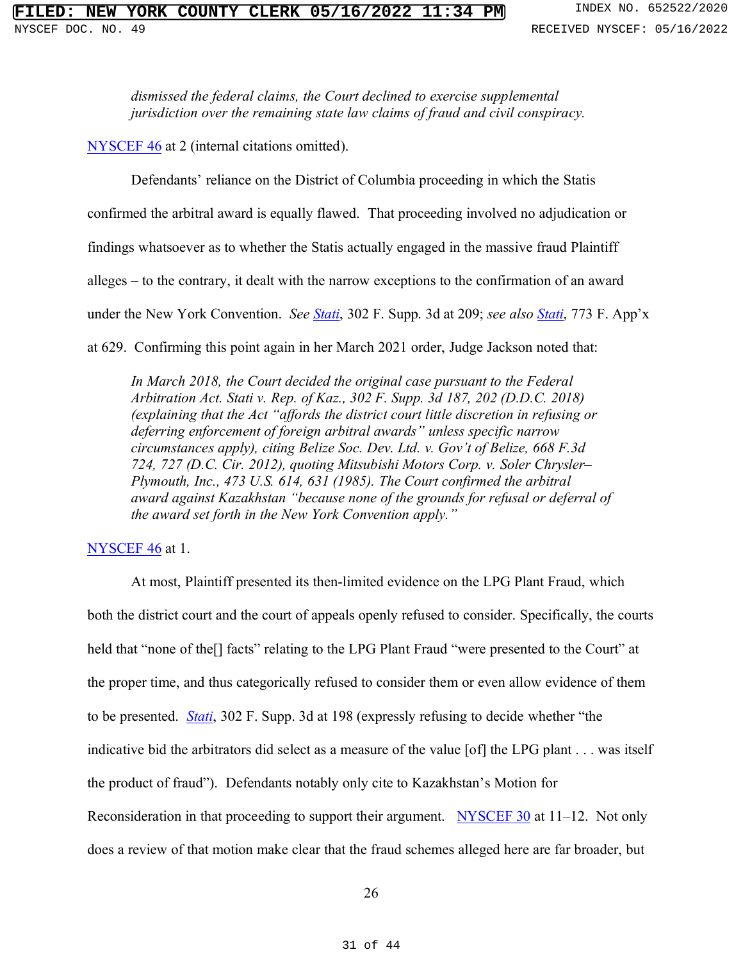*dismissed the federal claims, the Court declined to exercise supplemental jurisdiction over the remaining state law claims of fraud and civil conspiracy.* 

NYSCEF 46 at 2 (internal citations omitted).

Defendants' reliance on the District of Columbia proceeding in which the Statis

confirmed the arbitral award is equally flawed. That proceeding involved no adjudication or

findings whatsoever as to whether the Statis actually engaged in the massive fraud Plaintiff

alleges – to the contrary, it dealt with the narrow exceptions to the confirmation of an award

under the New York Convention. *See Stati*, 302 F. Supp. 3d at 209; *see also Stati*, 773 F. App'x

at 629. Confirming this point again in her March 2021 order, Judge Jackson noted that:

*In March 2018, the Court decided the original case pursuant to the Federal Arbitration Act. Stati v. Rep. of Kaz., 302 F. Supp. 3d 187, 202 (D.D.C. 2018) (explaining that the Act "affords the district court little discretion in refusing or deferring enforcement of foreign arbitral awards" unless specific narrow circumstances apply), citing Belize Soc. Dev. Ltd. v. Gov't of Belize, 668 F.3d 724, 727 (D.C. Cir. 2012), quoting Mitsubishi Motors Corp. v. Soler Chrysler– Plymouth, Inc., 473 U.S. 614, 631 (1985). The Court confirmed the arbitral award against Kazakhstan "because none of the grounds for refusal or deferral of the award set forth in the New York Convention apply."*

#### NYSCEF 46 at 1.

At most, Plaintiff presented its then-limited evidence on the LPG Plant Fraud, which both the district court and the court of appeals openly refused to consider. Specifically, the courts held that "none of the<sup>[]</sup> facts" relating to the LPG Plant Fraud "were presented to the Court" at the proper time, and thus categorically refused to consider them or even allow evidence of them to be presented. *Stati*, 302 F. Supp. 3d at 198 (expressly refusing to decide whether "the indicative bid the arbitrators did select as a measure of the value [of] the LPG plant . . . was itself the product of fraud"). Defendants notably only cite to Kazakhstan's Motion for Reconsideration in that proceeding to support their argument. NYSCEF 30 at 11–12. Not only does a review of that motion make clear that the fraud schemes alleged here are far broader, but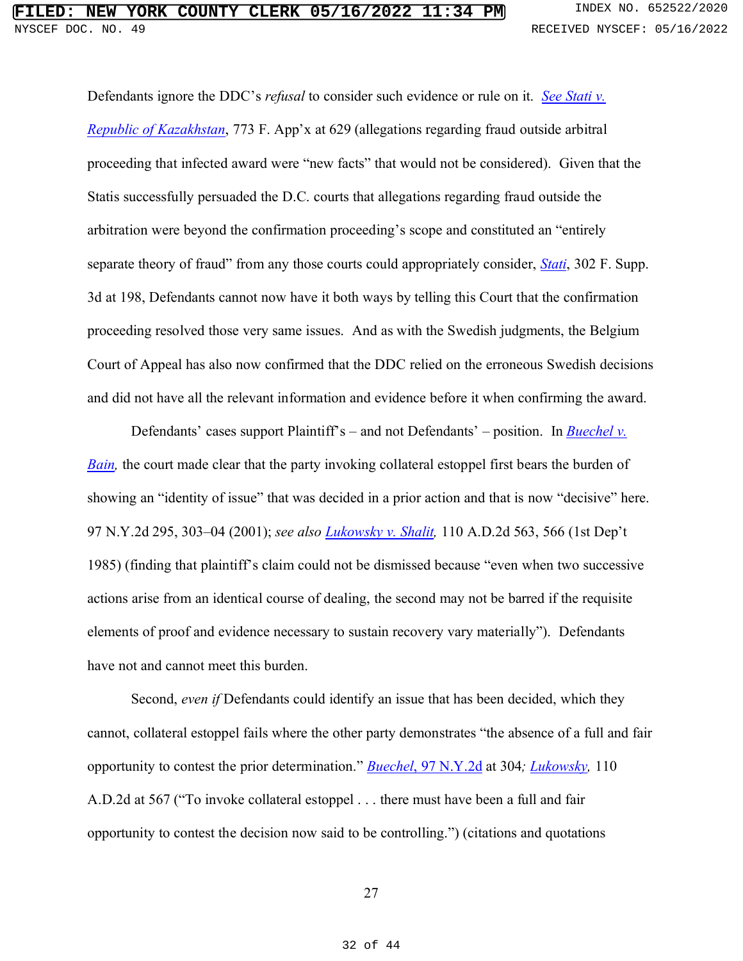Defendants ignore the DDC's *refusal* to consider such evidence or rule on it. *See Stati v. Republic of Kazakhstan*, 773 F. App'x at 629 (allegations regarding fraud outside arbitral proceeding that infected award were "new facts" that would not be considered). Given that the Statis successfully persuaded the D.C. courts that allegations regarding fraud outside the arbitration were beyond the confirmation proceeding's scope and constituted an "entirely separate theory of fraud" from any those courts could appropriately consider, *Stati*, 302 F. Supp. 3d at 198, Defendants cannot now have it both ways by telling this Court that the confirmation proceeding resolved those very same issues. And as with the Swedish judgments, the Belgium Court of Appeal has also now confirmed that the DDC relied on the erroneous Swedish decisions and did not have all the relevant information and evidence before it when confirming the award.

Defendants' cases support Plaintiff's – and not Defendants' – position. In *Buechel v. Bain*, the court made clear that the party invoking collateral estoppel first bears the burden of showing an "identity of issue" that was decided in a prior action and that is now "decisive" here. 97 N.Y.2d 295, 303–04 (2001); *see also Lukowsky v. Shalit,* 110 A.D.2d 563, 566 (1st Dep't 1985) (finding that plaintiff's claim could not be dismissed because "even when two successive actions arise from an identical course of dealing, the second may not be barred if the requisite elements of proof and evidence necessary to sustain recovery vary materially"). Defendants have not and cannot meet this burden.

Second, *even if* Defendants could identify an issue that has been decided, which they cannot, collateral estoppel fails where the other party demonstrates "the absence of a full and fair opportunity to contest the prior determination." *Buechel*, 97 N.Y.2d at 304*; Lukowsky,* 110 A.D.2d at 567 ("To invoke collateral estoppel . . . there must have been a full and fair opportunity to contest the decision now said to be controlling.") (citations and quotations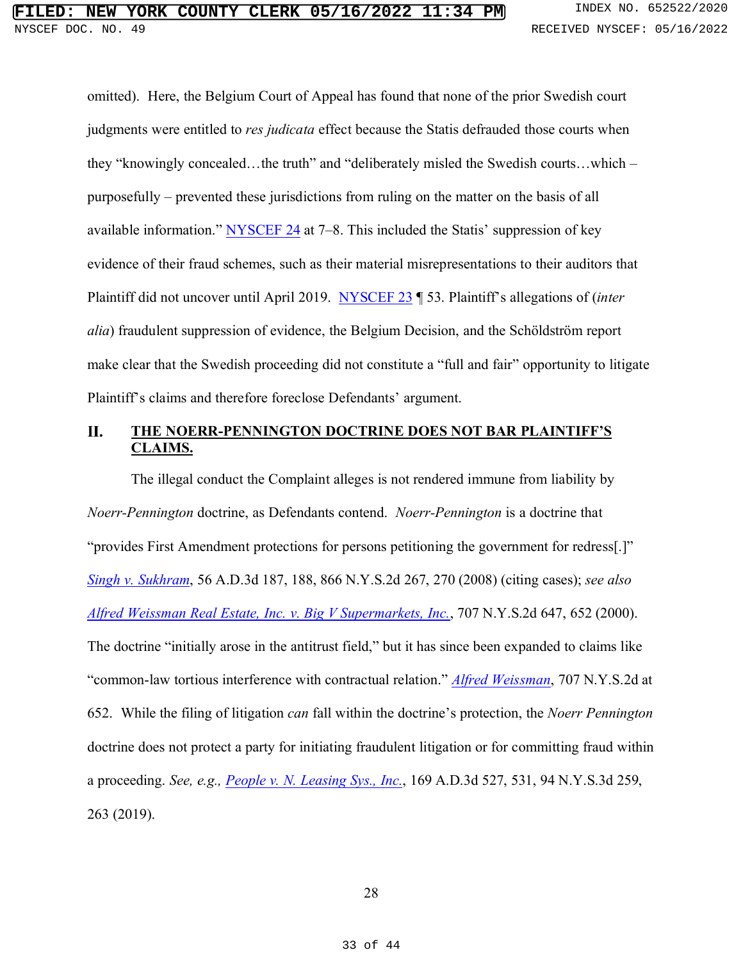omitted). Here, the Belgium Court of Appeal has found that none of the prior Swedish court judgments were entitled to *res judicata* effect because the Statis defrauded those courts when they "knowingly concealed...the truth" and "deliberately misled the Swedish courts...which – purposefully – prevented these jurisdictions from ruling on the matter on the basis of all available information." NYSCEF 24 at  $7-8$ . This included the Statis' suppression of key evidence of their fraud schemes, such as their material misrepresentations to their auditors that Plaintiff did not uncover until April 2019. NYSCEF 23 ¶ 53. Plaintiff's allegations of (*inter alia*) fraudulent suppression of evidence, the Belgium Decision, and the Schöldström report make clear that the Swedish proceeding did not constitute a "full and fair" opportunity to litigate Plaintiff's claims and therefore foreclose Defendants' argument.

#### П. **THE NOERR-PENNINGTON DOCTRINE DOES NOT BAR PLAINTIFF'S CLAIMS.**

The illegal conduct the Complaint alleges is not rendered immune from liability by *Noerr-Pennington* doctrine, as Defendants contend. *Noerr-Pennington* is a doctrine that "provides First Amendment protections for persons petitioning the government for redress[.]" *Singh v. Sukhram*, 56 A.D.3d 187, 188, 866 N.Y.S.2d 267, 270 (2008) (citing cases); *see also Alfred Weissman Real Estate, Inc. v. Big V Supermarkets, Inc.*, 707 N.Y.S.2d 647, 652 (2000). The doctrine "initially arose in the antitrust field," but it has since been expanded to claims like "common-law tortious interference with contractual relation." *Alfred Weissman*, 707 N.Y.S.2d at 652. While the filing of litigation *can* fall within the doctrine's protection, the *Noerr Pennington*  doctrine does not protect a party for initiating fraudulent litigation or for committing fraud within a proceeding. *See, e.g., People v. N. Leasing Sys., Inc.*, 169 A.D.3d 527, 531, 94 N.Y.S.3d 259, 263 (2019).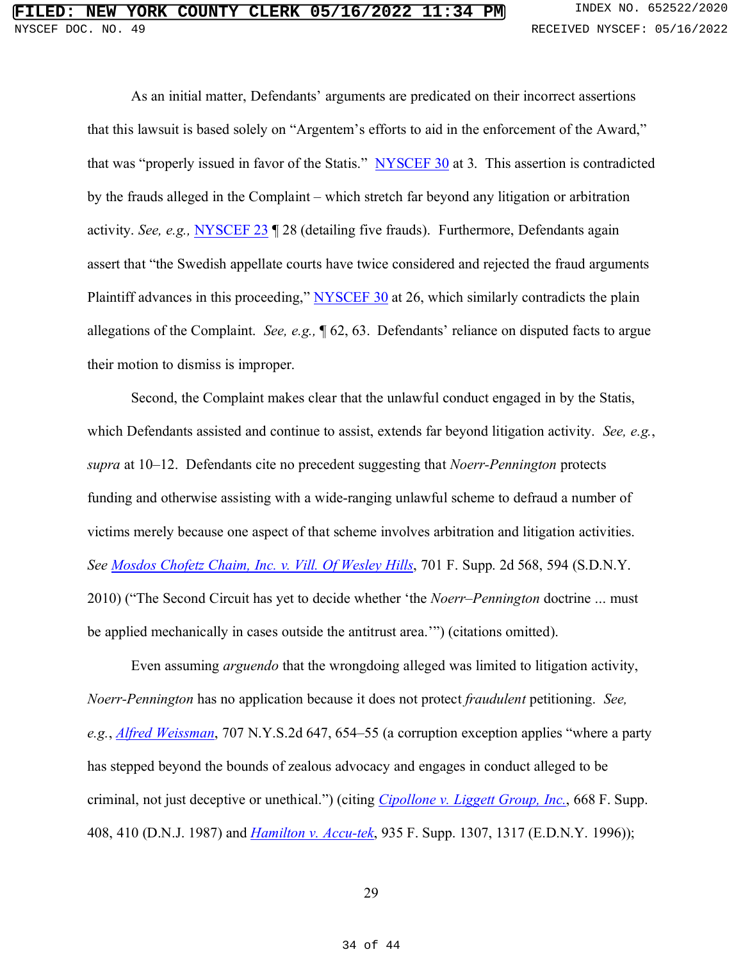As an initial matter, Defendants' arguments are predicated on their incorrect assertions that this lawsuit is based solely on "Argentem's efforts to aid in the enforcement of the Award," that was "properly issued in favor of the Statis." NYSCEF 30 at 3. This assertion is contradicted by the frauds alleged in the Complaint – which stretch far beyond any litigation or arbitration activity. *See, e.g.,* NYSCEF 23 ¶ 28 (detailing five frauds). Furthermore, Defendants again assert that "the Swedish appellate courts have twice considered and rejected the fraud arguments Plaintiff advances in this proceeding," NYSCEF 30 at 26, which similarly contradicts the plain allegations of the Complaint. *See, e.g.,* ¶ 62, 63. Defendants' reliance on disputed facts to argue their motion to dismiss is improper.

Second, the Complaint makes clear that the unlawful conduct engaged in by the Statis, which Defendants assisted and continue to assist, extends far beyond litigation activity. *See, e.g.*, *supra* at 10–12. Defendants cite no precedent suggesting that *Noerr-Pennington* protects funding and otherwise assisting with a wide-ranging unlawful scheme to defraud a number of victims merely because one aspect of that scheme involves arbitration and litigation activities. *See Mosdos Chofetz Chaim, Inc. v. Vill. Of Wesley Hills*, 701 F. Supp. 2d 568, 594 (S.D.N.Y. 2010) ("The Second Circuit has yet to decide whether 'the *Noerr–Pennington* doctrine ... must be applied mechanically in cases outside the antitrust area.'") (citations omitted).

Even assuming *arguendo* that the wrongdoing alleged was limited to litigation activity, *Noerr-Pennington* has no application because it does not protect *fraudulent* petitioning. *See, e.g.*, *Alfred Weissman*, 707 N.Y.S.2d 647, 654–55 (a corruption exception applies "where a party has stepped beyond the bounds of zealous advocacy and engages in conduct alleged to be criminal, not just deceptive or unethical.") (citing *Cipollone v. Liggett Group, Inc.*, 668 F. Supp. 408, 410 (D.N.J. 1987) and *Hamilton v. Accu-tek*, 935 F. Supp. 1307, 1317 (E.D.N.Y. 1996));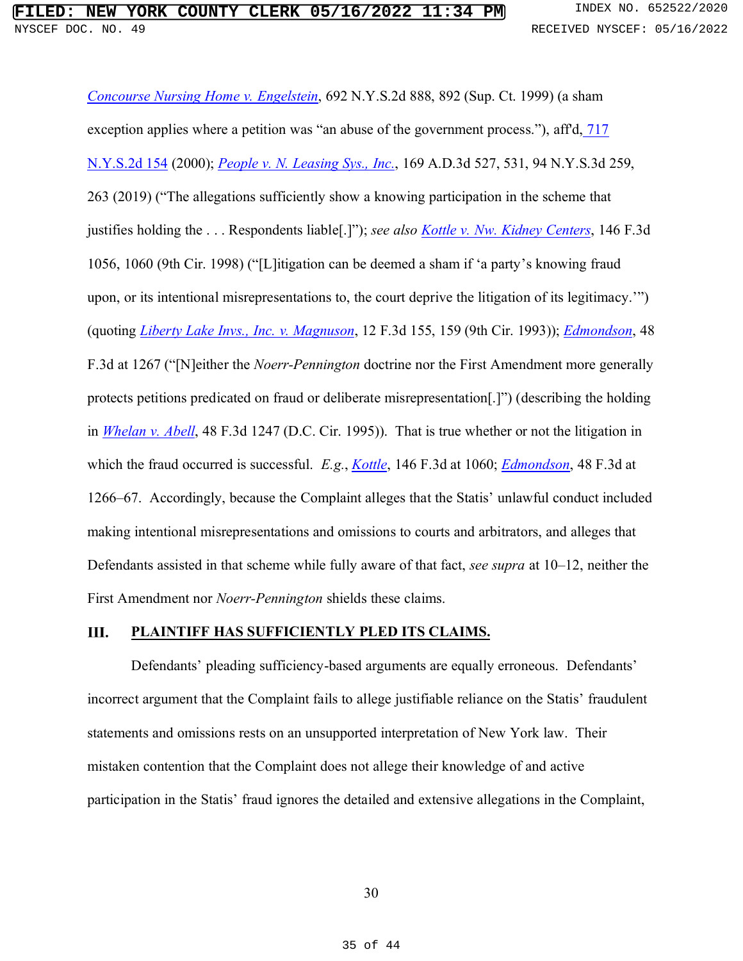*Concourse Nursing Home v. Engelstein*, 692 N.Y.S.2d 888, 892 (Sup. Ct. 1999) (a sham exception applies where a petition was "an abuse of the government process."), aff'd, 717 N.Y.S.2d 154 (2000); *People v. N. Leasing Sys., Inc.*, 169 A.D.3d 527, 531, 94 N.Y.S.3d 259, 263 (2019) ("The allegations sufficiently show a knowing participation in the scheme that justifies holding the . . . Respondents liable[.]"); *see also Kottle v. Nw. Kidney Centers*, 146 F.3d 1056, 1060 (9th Cir. 1998) ("[L]itigation can be deemed a sham if 'a party's knowing fraud upon, or its intentional misrepresentations to, the court deprive the litigation of its legitimacy.'") (quoting *Liberty Lake Invs., Inc. v. Magnuson*, 12 F.3d 155, 159 (9th Cir. 1993)); *Edmondson*, 48 F.3d at 1267 ("[N]either the *Noerr-Pennington* doctrine nor the First Amendment more generally protects petitions predicated on fraud or deliberate misrepresentation[.]") (describing the holding in *Whelan v. Abell*, 48 F.3d 1247 (D.C. Cir. 1995)).That is true whether or not the litigation in which the fraud occurred is successful. *E.g.*, *Kottle*, 146 F.3d at 1060; *Edmondson*, 48 F.3d at 1266–67. Accordingly, because the Complaint alleges that the Statis' unlawful conduct included making intentional misrepresentations and omissions to courts and arbitrators, and alleges that Defendants assisted in that scheme while fully aware of that fact, *see supra* at 10–12, neither the First Amendment nor *Noerr-Pennington* shields these claims.

#### Ш. **PLAINTIFF HAS SUFFICIENTLY PLED ITS CLAIMS.**

Defendants' pleading sufficiency-based arguments are equally erroneous. Defendants' incorrect argument that the Complaint fails to allege justifiable reliance on the Statis' fraudulent statements and omissions rests on an unsupported interpretation of New York law. Their mistaken contention that the Complaint does not allege their knowledge of and active participation in the Statis' fraud ignores the detailed and extensive allegations in the Complaint,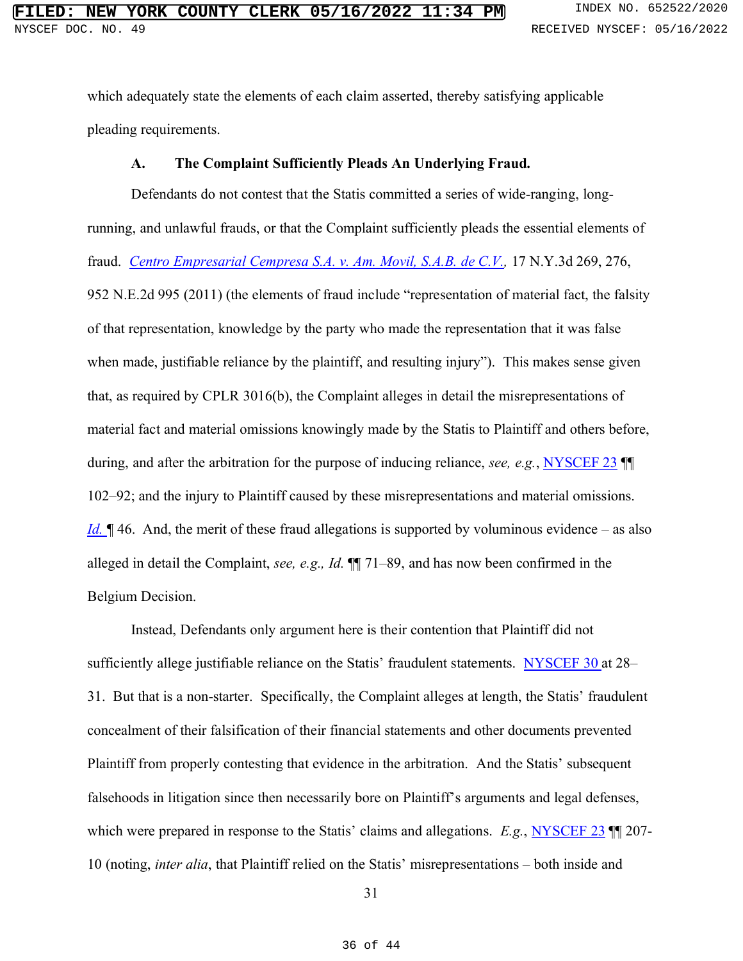which adequately state the elements of each claim asserted, thereby satisfying applicable pleading requirements.

#### **A. The Complaint Sufficiently Pleads An Underlying Fraud.**

Defendants do not contest that the Statis committed a series of wide-ranging, longrunning, and unlawful frauds, or that the Complaint sufficiently pleads the essential elements of fraud. *Centro Empresarial Cempresa S.A. v. Am. Movil, S.A.B. de C.V.,* 17 N.Y.3d 269, 276, 952 N.E.2d 995 (2011) (the elements of fraud include "representation of material fact, the falsity of that representation, knowledge by the party who made the representation that it was false when made, justifiable reliance by the plaintiff, and resulting injury"). This makes sense given that, as required by CPLR 3016(b), the Complaint alleges in detail the misrepresentations of material fact and material omissions knowingly made by the Statis to Plaintiff and others before, during, and after the arbitration for the purpose of inducing reliance, *see, e.g.*, NYSCEF 23 ¶¶ 102–92; and the injury to Plaintiff caused by these misrepresentations and material omissions. *Id.* 146. And, the merit of these fraud allegations is supported by voluminous evidence – as also alleged in detail the Complaint, *see, e.g., Id.* ¶¶ 71–89, and has now been confirmed in the Belgium Decision.

Instead, Defendants only argument here is their contention that Plaintiff did not sufficiently allege justifiable reliance on the Statis' fraudulent statements. NYSCEF 30 at 28– 31. But that is a non-starter. Specifically, the Complaint alleges at length, the Statis' fraudulent concealment of their falsification of their financial statements and other documents prevented Plaintiff from properly contesting that evidence in the arbitration. And the Statis' subsequent falsehoods in litigation since then necessarily bore on Plaintiff's arguments and legal defenses, which were prepared in response to the Statis' claims and allegations. *E.g.*, NYSCEF 23 ¶¶ 207- 10 (noting, *inter alia*, that Plaintiff relied on the Statis' misrepresentations – both inside and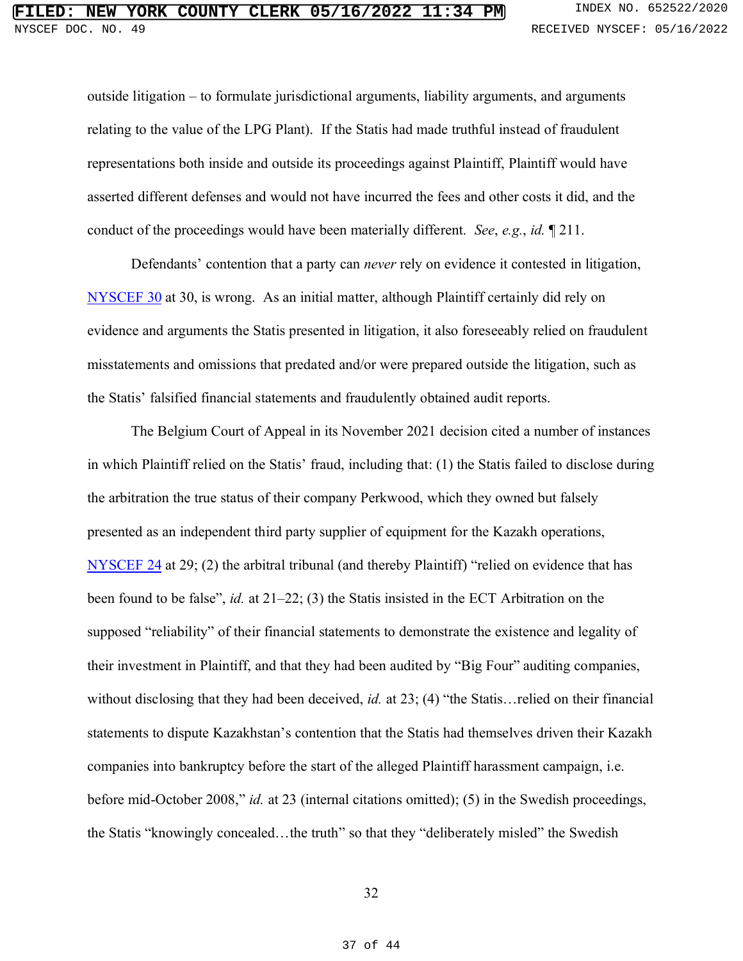outside litigation – to formulate jurisdictional arguments, liability arguments, and arguments relating to the value of the LPG Plant). If the Statis had made truthful instead of fraudulent representations both inside and outside its proceedings against Plaintiff, Plaintiff would have asserted different defenses and would not have incurred the fees and other costs it did, and the conduct of the proceedings would have been materially different. *See*, *e.g.*, *id.* ¶ 211.

Defendants' contention that a party can *never* rely on evidence it contested in litigation, NYSCEF 30 at 30, is wrong. As an initial matter, although Plaintiff certainly did rely on evidence and arguments the Statis presented in litigation, it also foreseeably relied on fraudulent misstatements and omissions that predated and/or were prepared outside the litigation, such as the Statis' falsified financial statements and fraudulently obtained audit reports.

The Belgium Court of Appeal in its November 2021 decision cited a number of instances in which Plaintiff relied on the Statis' fraud, including that: (1) the Statis failed to disclose during the arbitration the true status of their company Perkwood, which they owned but falsely presented as an independent third party supplier of equipment for the Kazakh operations, NYSCEF 24 at 29; (2) the arbitral tribunal (and thereby Plaintiff) "relied on evidence that has been found to be false", *id.* at 21–22; (3) the Statis insisted in the ECT Arbitration on the supposed "reliability" of their financial statements to demonstrate the existence and legality of their investment in Plaintiff, and that they had been audited by "Big Four" auditing companies, without disclosing that they had been deceived, *id.* at 23; (4) "the Statis…relied on their financial statements to dispute Kazakhstan's contention that the Statis had themselves driven their Kazakh companies into bankruptcy before the start of the alleged Plaintiff harassment campaign, i.e. before mid-October 2008," *id.* at 23 (internal citations omitted); (5) in the Swedish proceedings, the Statis "knowingly concealed...the truth" so that they "deliberately misled" the Swedish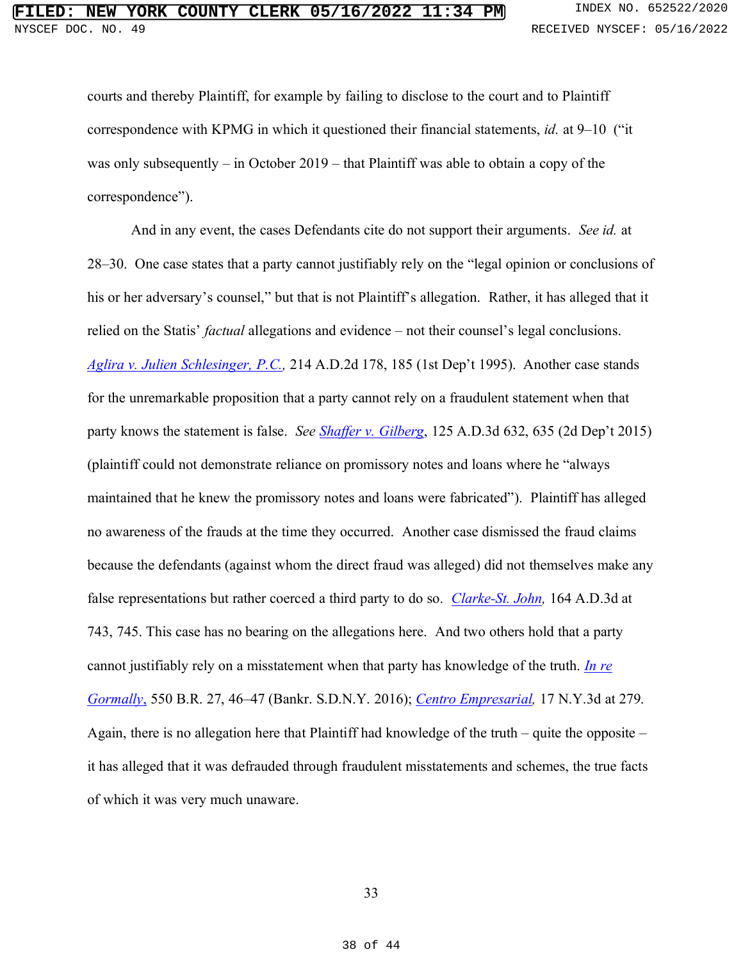courts and thereby Plaintiff, for example by failing to disclose to the court and to Plaintiff correspondence with KPMG in which it questioned their financial statements, *id.* at 9–10 ("it was only subsequently – in October 2019 – that Plaintiff was able to obtain a copy of the correspondence").

And in any event, the cases Defendants cite do not support their arguments. *See id.* at 28–30. One case states that a party cannot justifiably rely on the "legal opinion or conclusions of his or her adversary's counsel," but that is not Plaintiff's allegation. Rather, it has alleged that it relied on the Statis' *factual* allegations and evidence – not their counsel's legal conclusions. *Aglira v. Julien Schlesinger, P.C.,* 214 A.D.2d 178, 185 (1st Dep't 1995). Another case stands for the unremarkable proposition that a party cannot rely on a fraudulent statement when that party knows the statement is false. *See Shaffer v. Gilberg*, 125 A.D.3d 632, 635 (2d Dep't 2015) (plaintiff could not demonstrate reliance on promissory notes and loans where he "always maintained that he knew the promissory notes and loans were fabricated"). Plaintiff has alleged no awareness of the frauds at the time they occurred. Another case dismissed the fraud claims because the defendants (against whom the direct fraud was alleged) did not themselves make any false representations but rather coerced a third party to do so. *Clarke-St. John,* 164 A.D.3d at 743, 745. This case has no bearing on the allegations here. And two others hold that a party cannot justifiably rely on a misstatement when that party has knowledge of the truth. *In re Gormally*, 550 B.R. 27, 46–47 (Bankr. S.D.N.Y. 2016); *Centro Empresarial,* 17 N.Y.3d at 279. Again, there is no allegation here that Plaintiff had knowledge of the truth – quite the opposite – it has alleged that it was defrauded through fraudulent misstatements and schemes, the true facts of which it was very much unaware.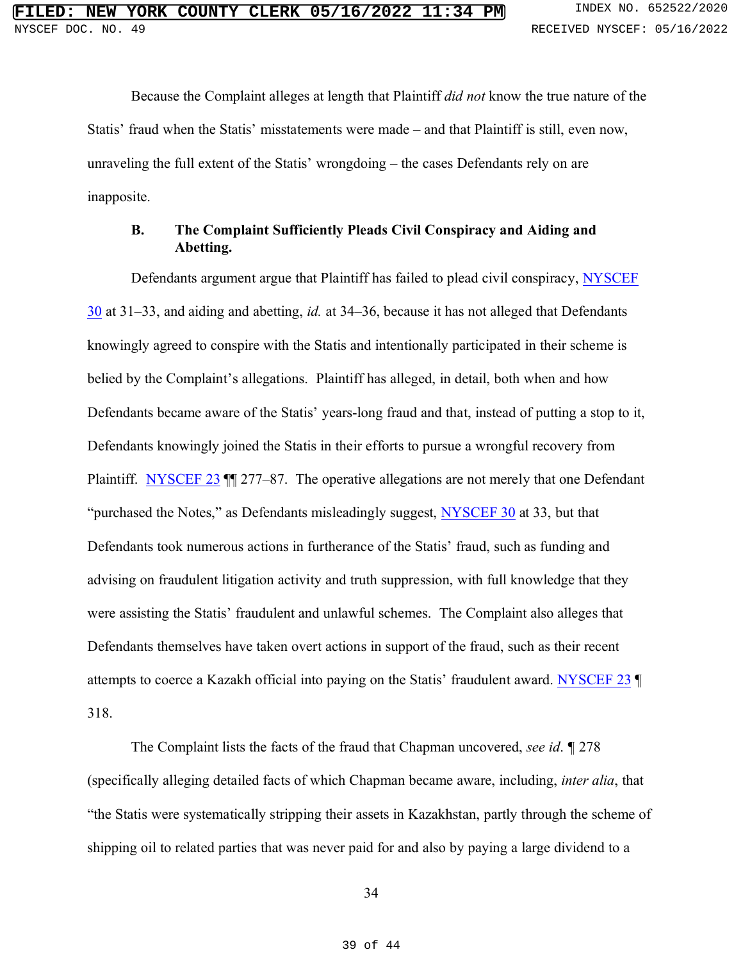Because the Complaint alleges at length that Plaintiff *did not* know the true nature of the Statis' fraud when the Statis' misstatements were made – and that Plaintiff is still, even now, unraveling the full extent of the Statis' wrongdoing – the cases Defendants rely on are inapposite.

#### **B. The Complaint Sufficiently Pleads Civil Conspiracy and Aiding and Abetting.**

Defendants argument argue that Plaintiff has failed to plead civil conspiracy, NYSCEF 30 at 31–33, and aiding and abetting, *id.* at 34–36, because it has not alleged that Defendants knowingly agreed to conspire with the Statis and intentionally participated in their scheme is belied by the Complaint's allegations. Plaintiff has alleged, in detail, both when and how Defendants became aware of the Statis' years-long fraud and that, instead of putting a stop to it, Defendants knowingly joined the Statis in their efforts to pursue a wrongful recovery from Plaintiff. NYSCEF 23  $\text{M}$  277–87. The operative allegations are not merely that one Defendant "purchased the Notes," as Defendants misleadingly suggest, NYSCEF 30 at 33, but that Defendants took numerous actions in furtherance of the Statis' fraud, such as funding and advising on fraudulent litigation activity and truth suppression, with full knowledge that they were assisting the Statis' fraudulent and unlawful schemes. The Complaint also alleges that Defendants themselves have taken overt actions in support of the fraud, such as their recent attempts to coerce a Kazakh official into paying on the Statis' fraudulent award. NYSCEF 23 318.

The Complaint lists the facts of the fraud that Chapman uncovered, *see id*. *¶* 278 (specifically alleging detailed facts of which Chapman became aware, including, *inter alia*, that "the Statis were systematically stripping their assets in Kazakhstan, partly through the scheme of shipping oil to related parties that was never paid for and also by paying a large dividend to a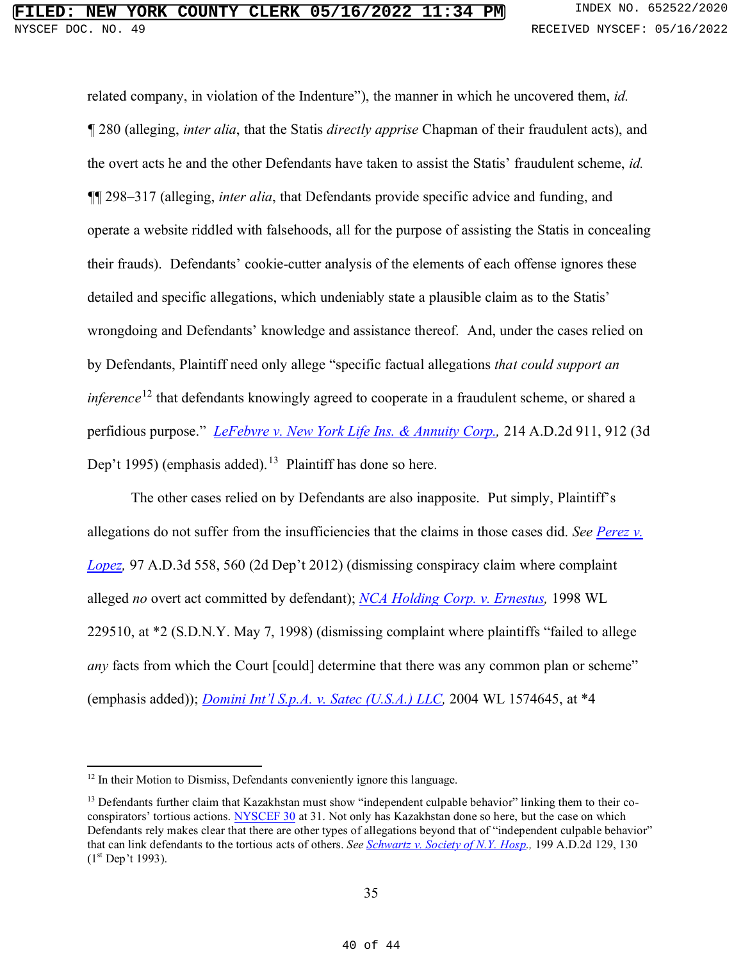related company, in violation of the Indenture"), the manner in which he uncovered them, *id. ¶* 280 (alleging, *inter alia*, that the Statis *directly apprise* Chapman of their fraudulent acts), and the overt acts he and the other Defendants have taken to assist the Statis' fraudulent scheme, *id. ¶*¶ 298–317 (alleging, *inter alia*, that Defendants provide specific advice and funding, and operate a website riddled with falsehoods, all for the purpose of assisting the Statis in concealing their frauds). Defendants' cookie-cutter analysis of the elements of each offense ignores these detailed and specific allegations, which undeniably state a plausible claim as to the Statis' wrongdoing and Defendants' knowledge and assistance thereof. And, under the cases relied on by Defendants, Plaintiff need only allege "specific factual allegations *that could support an inference*<sup>12</sup> that defendants knowingly agreed to cooperate in a fraudulent scheme, or shared a perfidious purpose." *LeFebvre v. New York Life Ins. & Annuity Corp.,* 214 A.D.2d 911, 912 (3d Dep't 1995) (emphasis added).<sup>13</sup> Plaintiff has done so here.

The other cases relied on by Defendants are also inapposite. Put simply, Plaintiff's allegations do not suffer from the insufficiencies that the claims in those cases did. *See Perez v. Lopez,* 97 A.D.3d 558, 560 (2d Dep't 2012) (dismissing conspiracy claim where complaint alleged *no* overt act committed by defendant); *NCA Holding Corp. v. Ernestus,* 1998 WL 229510, at \*2 (S.D.N.Y. May 7, 1998) (dismissing complaint where plaintiffs "failed to allege *any* facts from which the Court [could] determine that there was any common plan or scheme" (emphasis added)); *Domini Int'l S.p.A. v. Satec (U.S.A.) LLC,* 2004 WL 1574645, at \*4

<sup>&</sup>lt;sup>12</sup> In their Motion to Dismiss, Defendants conveniently ignore this language.

 $<sup>13</sup>$  Defendants further claim that Kazakhstan must show "independent culpable behavior" linking them to their co-</sup> conspirators' tortious actions. NYSCEF 30 at 31. Not only has Kazakhstan done so here, but the case on which Defendants rely makes clear that there are other types of allegations beyond that of "independent culpable behavior" that can link defendants to the tortious acts of others. *See Schwartz v. Society of N.Y. Hosp.,* 199 A.D.2d 129, 130  $(1<sup>st</sup> Dep't 1993).$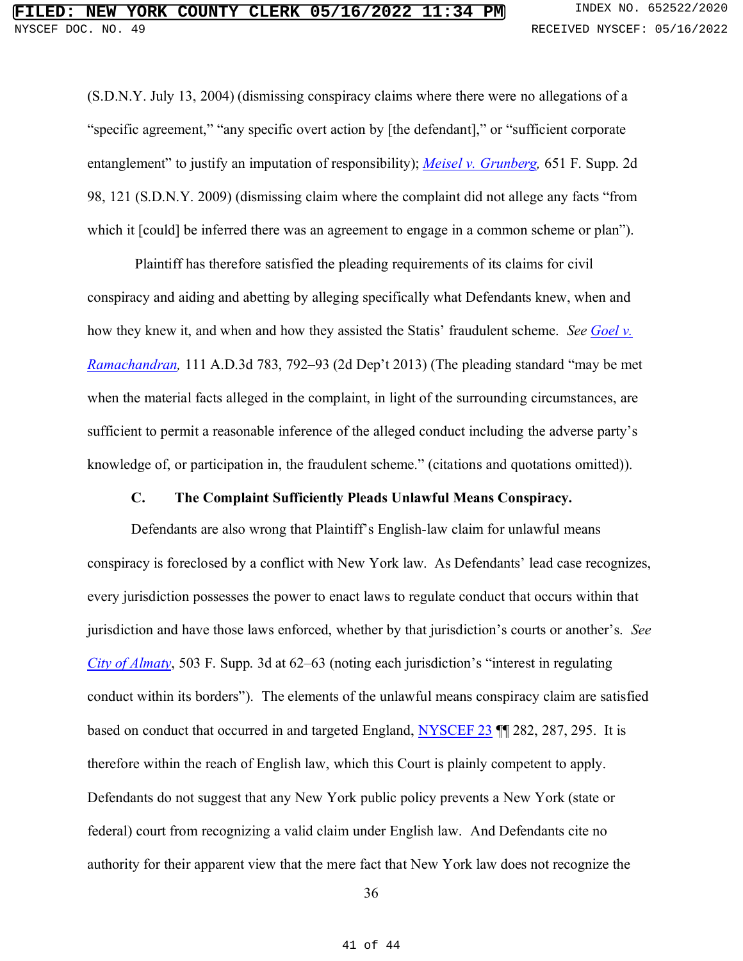(S.D.N.Y. July 13, 2004) (dismissing conspiracy claims where there were no allegations of a "specific agreement," "any specific overt action by [the defendant]," or "sufficient corporate entanglement" to justify an imputation of responsibility); *Meisel v. Grunberg,* 651 F. Supp. 2d 98, 121 (S.D.N.Y. 2009) (dismissing claim where the complaint did not allege any facts "from which it [could] be inferred there was an agreement to engage in a common scheme or plan").

Plaintiff has therefore satisfied the pleading requirements of its claims for civil conspiracy and aiding and abetting by alleging specifically what Defendants knew, when and how they knew it, and when and how they assisted the Statis' fraudulent scheme. *See Goel v. Ramachandran,* 111 A.D.3d 783, 792–93 (2d Dep't 2013) (The pleading standard "may be met when the material facts alleged in the complaint, in light of the surrounding circumstances, are sufficient to permit a reasonable inference of the alleged conduct including the adverse party's knowledge of, or participation in, the fraudulent scheme." (citations and quotations omitted)).

#### **C. The Complaint Sufficiently Pleads Unlawful Means Conspiracy.**

Defendants are also wrong that Plaintiff's English-law claim for unlawful means conspiracy is foreclosed by a conflict with New York law. As Defendants' lead case recognizes, every jurisdiction possesses the power to enact laws to regulate conduct that occurs within that jurisdiction and have those laws enforced, whether by that jurisdiction's courts or another's. *See City of Almaty*, 503 F. Supp. 3d at 62–63 (noting each jurisdiction's "interest in regulating conduct within its borders"). The elements of the unlawful means conspiracy claim are satisfied based on conduct that occurred in and targeted England, NYSCEF 23 ¶¶ 282, 287, 295. It is therefore within the reach of English law, which this Court is plainly competent to apply. Defendants do not suggest that any New York public policy prevents a New York (state or federal) court from recognizing a valid claim under English law. And Defendants cite no authority for their apparent view that the mere fact that New York law does not recognize the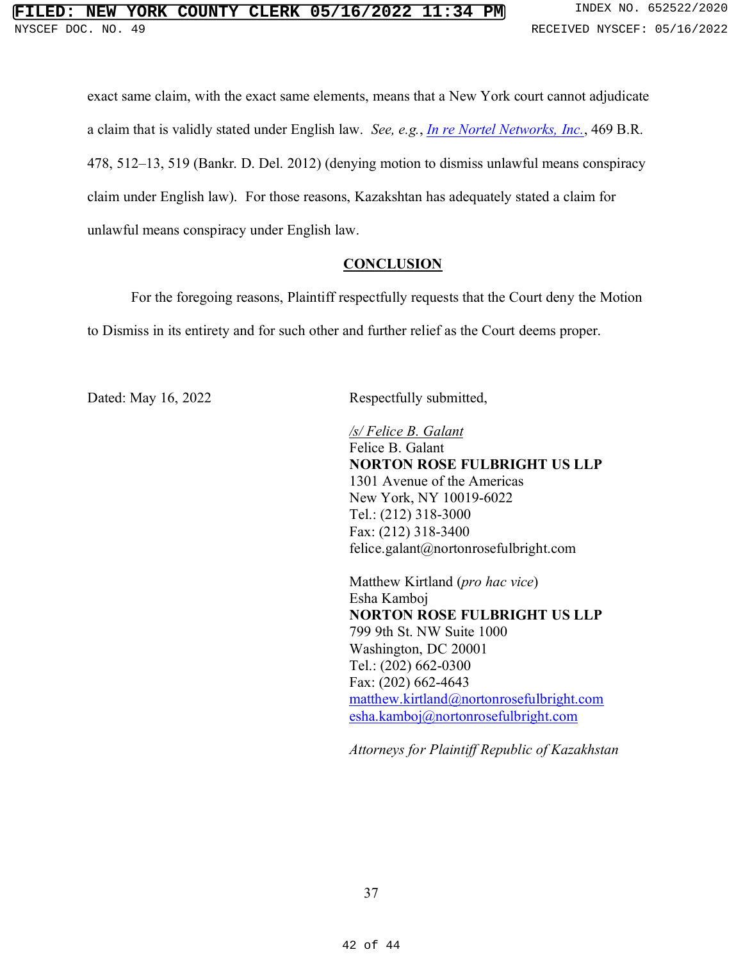exact same claim, with the exact same elements, means that a New York court cannot adjudicate a claim that is validly stated under English law. *See, e.g.*, *In re Nortel Networks, Inc.*, 469 B.R. 478, 512–13, 519 (Bankr. D. Del. 2012) (denying motion to dismiss unlawful means conspiracy claim under English law). For those reasons, Kazakshtan has adequately stated a claim for unlawful means conspiracy under English law.

#### **CONCLUSION**

For the foregoing reasons, Plaintiff respectfully requests that the Court deny the Motion to Dismiss in its entirety and for such other and further relief as the Court deems proper.

Dated: May 16, 2022 Respectfully submitted,

*/s/ Felice B. Galant* Felice B. Galant **NORTON ROSE FULBRIGHT US LLP** 1301 Avenue of the Americas New York, NY 10019-6022 Tel.: (212) 318-3000 Fax: (212) 318-3400 felice.galant@nortonrosefulbright.com

Matthew Kirtland (*pro hac vice*) Esha Kamboj **NORTON ROSE FULBRIGHT US LLP** 799 9th St. NW Suite 1000 Washington, DC 20001 Tel.: (202) 662-0300 Fax: (202) 662-4643 matthew.kirtland@nortonrosefulbright.com esha.kamboj@nortonrosefulbright.com

*Attorneys for Plaintiff Republic of Kazakhstan*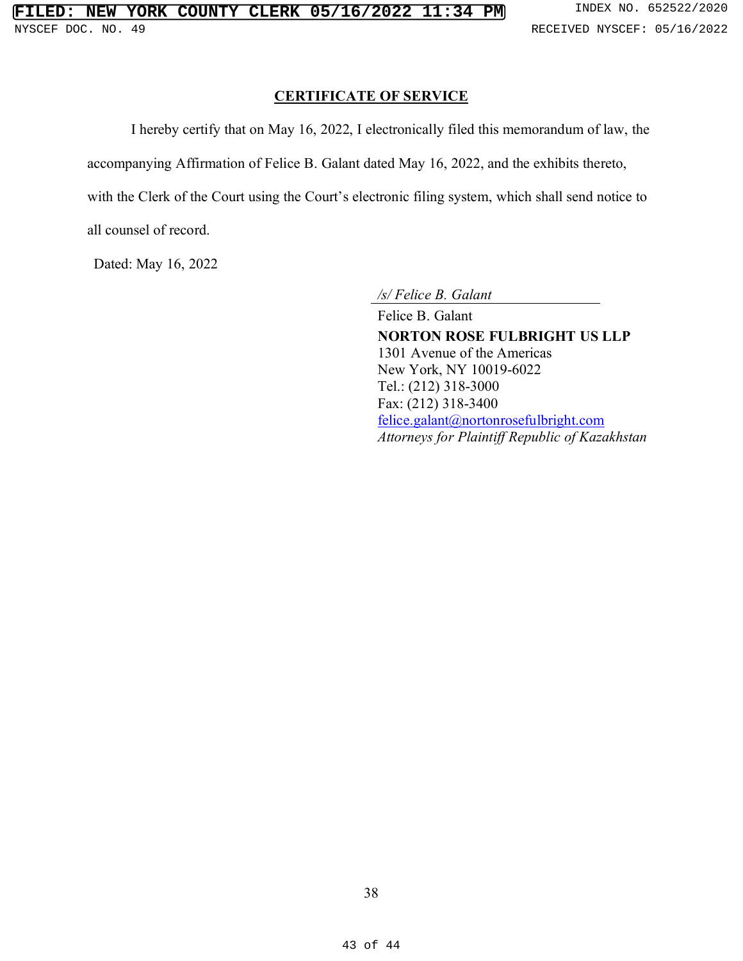#### **CERTIFICATE OF SERVICE**

I hereby certify that on May 16, 2022, I electronically filed this memorandum of law, the

accompanying Affirmation of Felice B. Galant dated May 16, 2022, and the exhibits thereto,

with the Clerk of the Court using the Court's electronic filing system, which shall send notice to

all counsel of record.

Dated: May 16, 2022

*/s/ Felice B. Galant*

Felice B. Galant **NORTON ROSE FULBRIGHT US LLP** 1301 Avenue of the Americas New York, NY 10019-6022 Tel.: (212) 318-3000 Fax: (212) 318-3400 felice.galant@nortonrosefulbright.com *Attorneys for Plaintiff Republic of Kazakhstan*